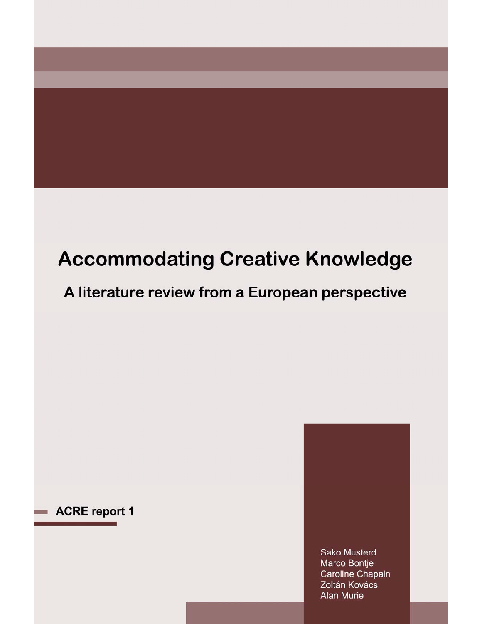# **Accommodating Creative Knowledge**

A literature review from a European perspective

# ACRE report 1

**Sako Musterd** Marco Bontje Caroline Chapain Zoltán Kovács **Alan Murie**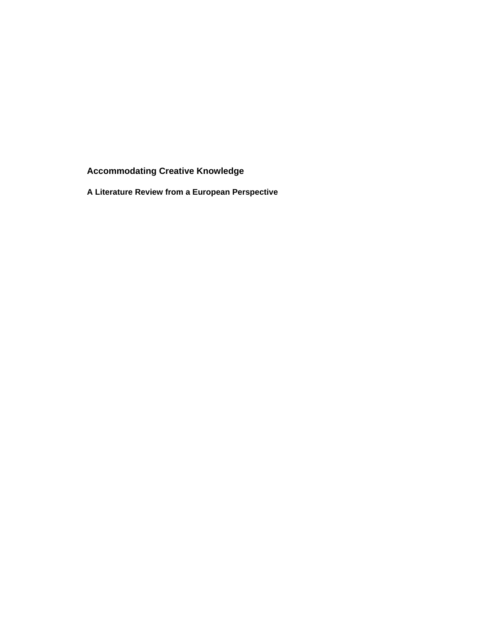**Accommodating Creative Knowledge** 

**A Literature Review from a European Perspective**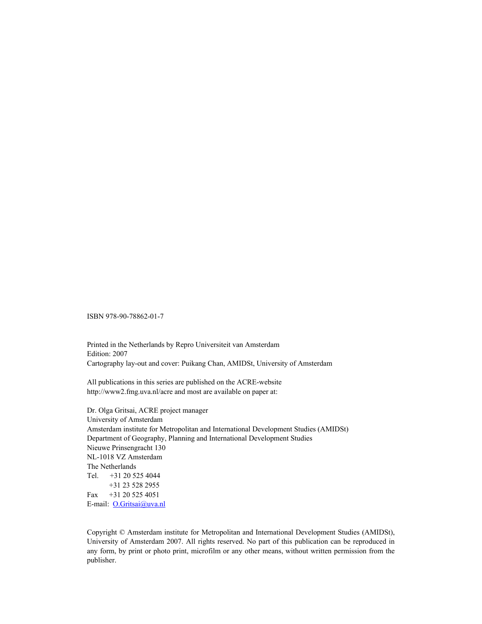ISBN 978-90-78862-01-7

Printed in the Netherlands by Repro Universiteit van Amsterdam Edition: 2007 Cartography lay-out and cover: Puikang Chan, AMIDSt, University of Amsterdam

All publications in this series are published on the ACRE-website http://www2.fmg.uva.nl/acre and most are available on paper at:

Dr. Olga Gritsai, ACRE project manager University of Amsterdam Amsterdam institute for Metropolitan and International Development Studies (AMIDSt) Department of Geography, Planning and International Development Studies Nieuwe Prinsengracht 130 NL-1018 VZ Amsterdam The Netherlands Tel. +31 20 525 4044 +31 23 528 2955 Fax +31 20 525 4051 E-mail: O.Gritsai@uva.nl

Copyright © Amsterdam institute for Metropolitan and International Development Studies (AMIDSt), University of Amsterdam 2007. All rights reserved. No part of this publication can be reproduced in any form, by print or photo print, microfilm or any other means, without written permission from the publisher.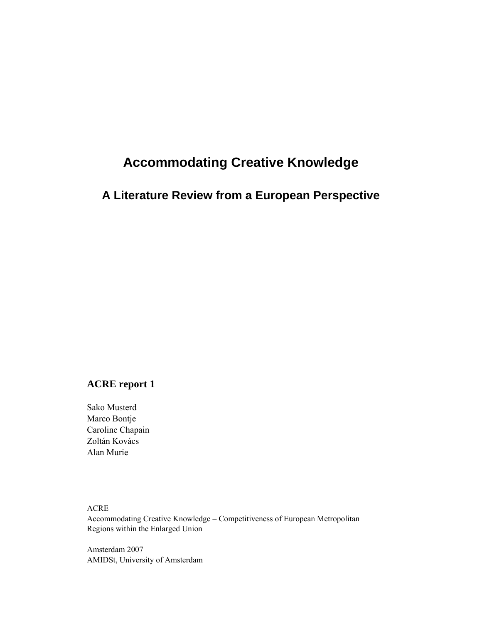# **Accommodating Creative Knowledge**

### **A Literature Review from a European Perspective**

### **ACRE report 1**

Sako Musterd Marco Bontje Caroline Chapain Zoltán Kovács Alan Murie

ACRE Accommodating Creative Knowledge – Competitiveness of European Metropolitan Regions within the Enlarged Union

Amsterdam 2007 AMIDSt, University of Amsterdam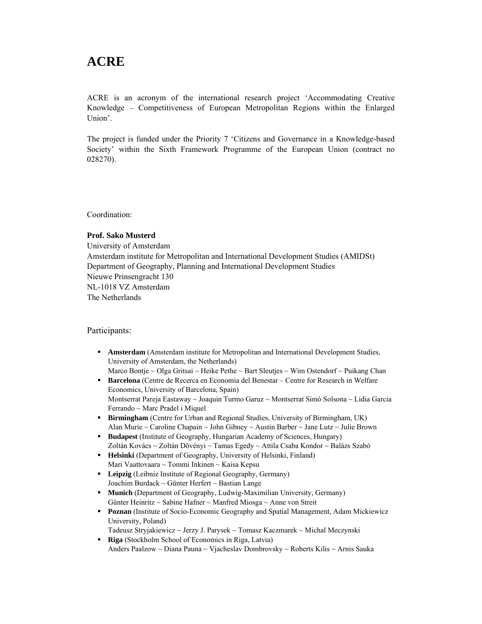# **ACRE**

ACRE is an acronym of the international research project 'Accommodating Creative Knowledge – Competitiveness of European Metropolitan Regions within the Enlarged Union'.

The project is funded under the Priority 7 'Citizens and Governance in a Knowledge-based Society' within the Sixth Framework Programme of the European Union (contract no 028270).

Coordination:

#### **Prof. Sako Musterd**

University of Amsterdam Amsterdam institute for Metropolitan and International Development Studies (AMIDSt) Department of Geography, Planning and International Development Studies Nieuwe Prinsengracht 130 NL-1018 VZ Amsterdam The Netherlands

Participants:

- **Amsterdam** (Amsterdam institute for Metropolitan and International Development Studies, University of Amsterdam, the Netherlands)
	- Marco Bontje ~ Olga Gritsai ~ Heike Pethe ~ Bart Sleutjes ~ Wim Ostendorf ~ Puikang Chan
- **Barcelona** (Centre de Recerca en Economia del Benestar Centre for Research in Welfare Economics, University of Barcelona, Spain) Montserrat Pareja Eastaway ~ Joaquin Turmo Garuz ~ Montserrat Simó Solsona ~ Lidia Garcia Ferrando ~ Marc Pradel i Miquel
- **Birmingham** (Centre for Urban and Regional Studies, University of Birmingham, UK) Alan Murie ~ Caroline Chapain ~ John Gibney ~ Austin Barber ~ Jane Lutz ~ Julie Brown
- **Budapest** (Institute of Geography, Hungarian Academy of Sciences, Hungary) Zoltán Kovács ~ Zoltán Dövényi ~ Tamas Egedy ~ Attila Csaba Kondor ~ Balázs Szabó
- **Helsinki** (Department of Geography, University of Helsinki, Finland) Mari Vaattovaara ~ Tommi Inkinen ~ Kaisa Kepsu
- **Leipzig** (Leibniz Institute of Regional Geography, Germany) Joachim Burdack ~ Günter Herfert ~ Bastian Lange
- **Munich (Department of Geography, Ludwig-Maximilian University, Germany)** Günter Heinritz ~ Sabine Hafner ~ Manfred Miosga ~ Anne von Streit
- **Poznan** (Institute of Socio-Economic Geography and Spatial Management, Adam Mickiewicz University, Poland)
	- Tadeusz Stryjakiewicz ~ Jerzy J. Parysek ~ Tomasz Kaczmarek ~ Michal Meczynski
- **Riga** (Stockholm School of Economics in Riga, Latvia) Anders Paalzow ~ Diana Pauna ~ Vjacheslav Dombrovsky ~ Roberts Kilis ~ Arnis Sauka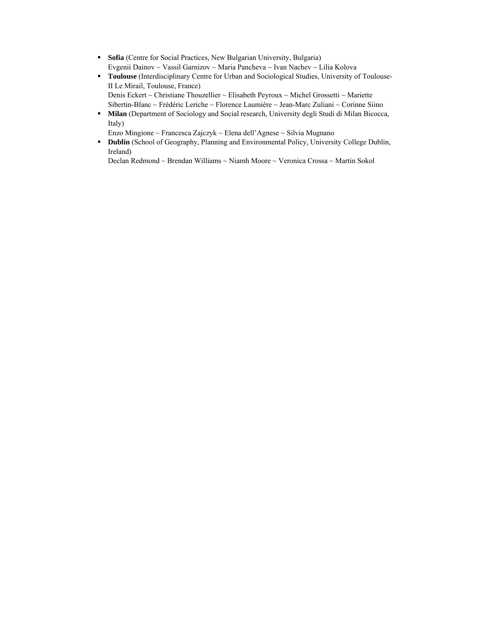- **Sofia** (Centre for Social Practices, New Bulgarian University, Bulgaria) Evgenii Dainov ~ Vassil Garnizov ~ Maria Pancheva ~ Ivan Nachev ~ Lilia Kolova
- **Toulouse** (Interdisciplinary Centre for Urban and Sociological Studies, University of Toulouse-II Le Mirail, Toulouse, France) Denis Eckert ~ Christiane Thouzellier ~ Elisabeth Peyroux ~ Michel Grossetti ~ Mariette
- Sibertin-Blanc ~ Frédéric Leriche ~ Florence Laumière ~ Jean-Marc Zuliani ~ Corinne Siino **Milan** (Department of Sociology and Social research, University degli Studi di Milan Bicocca, Italy)

Enzo Mingione ~ Francesca Zajczyk ~ Elena dell'Agnese ~ Silvia Mugnano

**Dublin** (School of Geography, Planning and Environmental Policy, University College Dublin, Ireland)

Declan Redmond ~ Brendan Williams ~ Niamh Moore ~ Veronica Crossa ~ Martin Sokol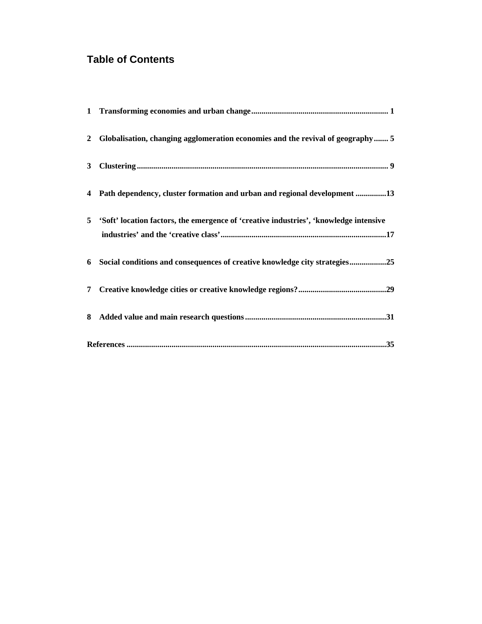## **Table of Contents**

|  | 2 Globalisation, changing agglomeration economies and the revival of geography 5        |  |  |  |
|--|-----------------------------------------------------------------------------------------|--|--|--|
|  |                                                                                         |  |  |  |
|  | 4 Path dependency, cluster formation and urban and regional development 13              |  |  |  |
|  | 5 'Soft' location factors, the emergence of 'creative industries', 'knowledge intensive |  |  |  |
|  |                                                                                         |  |  |  |
|  | 6 Social conditions and consequences of creative knowledge city strategies25            |  |  |  |
|  |                                                                                         |  |  |  |
|  |                                                                                         |  |  |  |
|  |                                                                                         |  |  |  |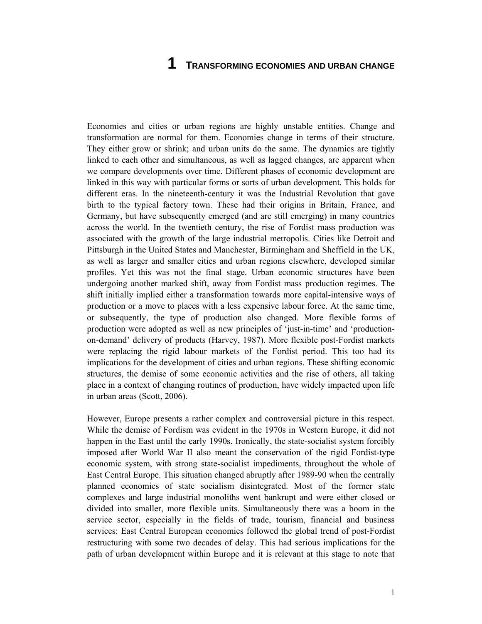### **1 TRANSFORMING ECONOMIES AND URBAN CHANGE**

Economies and cities or urban regions are highly unstable entities. Change and transformation are normal for them. Economies change in terms of their structure. They either grow or shrink; and urban units do the same. The dynamics are tightly linked to each other and simultaneous, as well as lagged changes, are apparent when we compare developments over time. Different phases of economic development are linked in this way with particular forms or sorts of urban development. This holds for different eras. In the nineteenth-century it was the Industrial Revolution that gave birth to the typical factory town. These had their origins in Britain, France, and Germany, but have subsequently emerged (and are still emerging) in many countries across the world. In the twentieth century, the rise of Fordist mass production was associated with the growth of the large industrial metropolis. Cities like Detroit and Pittsburgh in the United States and Manchester, Birmingham and Sheffield in the UK, as well as larger and smaller cities and urban regions elsewhere, developed similar profiles. Yet this was not the final stage. Urban economic structures have been undergoing another marked shift, away from Fordist mass production regimes. The shift initially implied either a transformation towards more capital-intensive ways of production or a move to places with a less expensive labour force. At the same time, or subsequently, the type of production also changed. More flexible forms of production were adopted as well as new principles of 'just-in-time' and 'productionon-demand' delivery of products (Harvey, 1987). More flexible post-Fordist markets were replacing the rigid labour markets of the Fordist period. This too had its implications for the development of cities and urban regions. These shifting economic structures, the demise of some economic activities and the rise of others, all taking place in a context of changing routines of production, have widely impacted upon life in urban areas (Scott, 2006).

However, Europe presents a rather complex and controversial picture in this respect. While the demise of Fordism was evident in the 1970s in Western Europe, it did not happen in the East until the early 1990s. Ironically, the state-socialist system forcibly imposed after World War II also meant the conservation of the rigid Fordist-type economic system, with strong state-socialist impediments, throughout the whole of East Central Europe. This situation changed abruptly after 1989-90 when the centrally planned economies of state socialism disintegrated. Most of the former state complexes and large industrial monoliths went bankrupt and were either closed or divided into smaller, more flexible units. Simultaneously there was a boom in the service sector, especially in the fields of trade, tourism, financial and business services: East Central European economies followed the global trend of post-Fordist restructuring with some two decades of delay. This had serious implications for the path of urban development within Europe and it is relevant at this stage to note that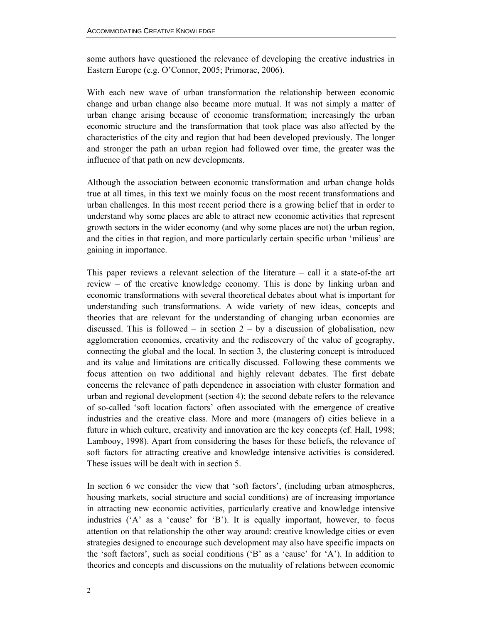some authors have questioned the relevance of developing the creative industries in Eastern Europe (e.g. O'Connor, 2005; Primorac, 2006).

With each new wave of urban transformation the relationship between economic change and urban change also became more mutual. It was not simply a matter of urban change arising because of economic transformation; increasingly the urban economic structure and the transformation that took place was also affected by the characteristics of the city and region that had been developed previously. The longer and stronger the path an urban region had followed over time, the greater was the influence of that path on new developments.

Although the association between economic transformation and urban change holds true at all times, in this text we mainly focus on the most recent transformations and urban challenges. In this most recent period there is a growing belief that in order to understand why some places are able to attract new economic activities that represent growth sectors in the wider economy (and why some places are not) the urban region, and the cities in that region, and more particularly certain specific urban 'milieus' are gaining in importance.

This paper reviews a relevant selection of the literature – call it a state-of-the art review – of the creative knowledge economy. This is done by linking urban and economic transformations with several theoretical debates about what is important for understanding such transformations. A wide variety of new ideas, concepts and theories that are relevant for the understanding of changing urban economies are discussed. This is followed – in section  $2 - by a$  discussion of globalisation, new agglomeration economies, creativity and the rediscovery of the value of geography, connecting the global and the local. In section 3, the clustering concept is introduced and its value and limitations are critically discussed. Following these comments we focus attention on two additional and highly relevant debates. The first debate concerns the relevance of path dependence in association with cluster formation and urban and regional development (section 4); the second debate refers to the relevance of so-called 'soft location factors' often associated with the emergence of creative industries and the creative class. More and more (managers of) cities believe in a future in which culture, creativity and innovation are the key concepts (cf. Hall, 1998; Lambooy, 1998). Apart from considering the bases for these beliefs, the relevance of soft factors for attracting creative and knowledge intensive activities is considered. These issues will be dealt with in section 5.

In section 6 we consider the view that 'soft factors', (including urban atmospheres, housing markets, social structure and social conditions) are of increasing importance in attracting new economic activities, particularly creative and knowledge intensive industries ('A' as a 'cause' for 'B'). It is equally important, however, to focus attention on that relationship the other way around: creative knowledge cities or even strategies designed to encourage such development may also have specific impacts on the 'soft factors', such as social conditions ('B' as a 'cause' for 'A'). In addition to theories and concepts and discussions on the mutuality of relations between economic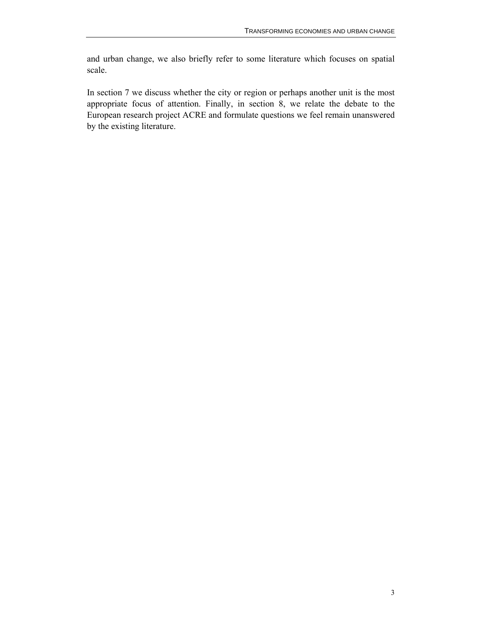and urban change, we also briefly refer to some literature which focuses on spatial scale.

In section 7 we discuss whether the city or region or perhaps another unit is the most appropriate focus of attention. Finally, in section 8, we relate the debate to the European research project ACRE and formulate questions we feel remain unanswered by the existing literature.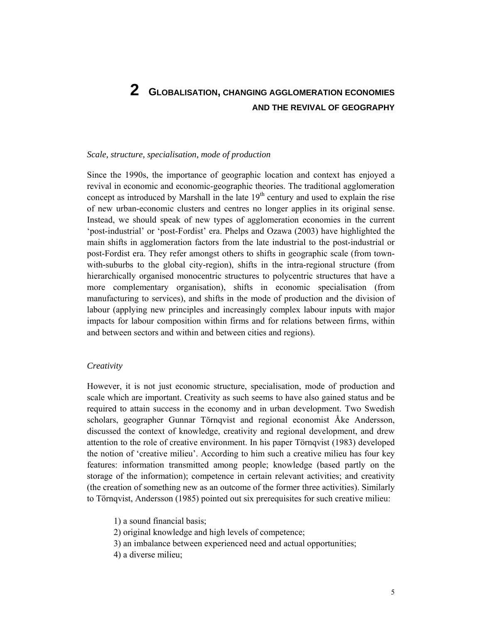# **2 GLOBALISATION, CHANGING AGGLOMERATION ECONOMIES AND THE REVIVAL OF GEOGRAPHY**

### *Scale, structure, specialisation, mode of production*

Since the 1990s, the importance of geographic location and context has enjoyed a revival in economic and economic-geographic theories. The traditional agglomeration concept as introduced by Marshall in the late  $19<sup>th</sup>$  century and used to explain the rise of new urban-economic clusters and centres no longer applies in its original sense. Instead, we should speak of new types of agglomeration economies in the current 'post-industrial' or 'post-Fordist' era. Phelps and Ozawa (2003) have highlighted the main shifts in agglomeration factors from the late industrial to the post-industrial or post-Fordist era. They refer amongst others to shifts in geographic scale (from townwith-suburbs to the global city-region), shifts in the intra-regional structure (from hierarchically organised monocentric structures to polycentric structures that have a more complementary organisation), shifts in economic specialisation (from manufacturing to services), and shifts in the mode of production and the division of labour (applying new principles and increasingly complex labour inputs with major impacts for labour composition within firms and for relations between firms, within and between sectors and within and between cities and regions).

### *Creativity*

However, it is not just economic structure, specialisation, mode of production and scale which are important. Creativity as such seems to have also gained status and be required to attain success in the economy and in urban development. Two Swedish scholars, geographer Gunnar Törnqvist and regional economist Åke Andersson, discussed the context of knowledge, creativity and regional development, and drew attention to the role of creative environment. In his paper Törnqvist (1983) developed the notion of 'creative milieu'. According to him such a creative milieu has four key features: information transmitted among people; knowledge (based partly on the storage of the information); competence in certain relevant activities; and creativity (the creation of something new as an outcome of the former three activities). Similarly to Törnqvist, Andersson (1985) pointed out six prerequisites for such creative milieu:

1) a sound financial basis; 2) original knowledge and high levels of competence; 3) an imbalance between experienced need and actual opportunities; 4) a diverse milieu;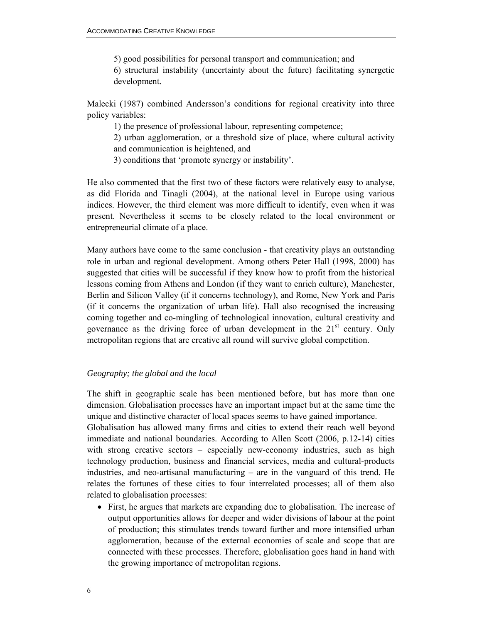5) good possibilities for personal transport and communication; and 6) structural instability (uncertainty about the future) facilitating synergetic development.

Malecki (1987) combined Andersson's conditions for regional creativity into three policy variables:

1) the presence of professional labour, representing competence;

2) urban agglomeration, or a threshold size of place, where cultural activity and communication is heightened, and

3) conditions that 'promote synergy or instability'.

He also commented that the first two of these factors were relatively easy to analyse, as did Florida and Tinagli (2004), at the national level in Europe using various indices. However, the third element was more difficult to identify, even when it was present. Nevertheless it seems to be closely related to the local environment or entrepreneurial climate of a place.

Many authors have come to the same conclusion - that creativity plays an outstanding role in urban and regional development. Among others Peter Hall (1998, 2000) has suggested that cities will be successful if they know how to profit from the historical lessons coming from Athens and London (if they want to enrich culture), Manchester, Berlin and Silicon Valley (if it concerns technology), and Rome, New York and Paris (if it concerns the organization of urban life). Hall also recognised the increasing coming together and co-mingling of technological innovation, cultural creativity and governance as the driving force of urban development in the  $21<sup>st</sup>$  century. Only metropolitan regions that are creative all round will survive global competition.

### *Geography; the global and the local*

The shift in geographic scale has been mentioned before, but has more than one dimension. Globalisation processes have an important impact but at the same time the unique and distinctive character of local spaces seems to have gained importance.

Globalisation has allowed many firms and cities to extend their reach well beyond immediate and national boundaries. According to Allen Scott (2006, p.12-14) cities with strong creative sectors – especially new-economy industries, such as high technology production, business and financial services, media and cultural-products industries, and neo-artisanal manufacturing – are in the vanguard of this trend. He relates the fortunes of these cities to four interrelated processes; all of them also related to globalisation processes:

• First, he argues that markets are expanding due to globalisation. The increase of output opportunities allows for deeper and wider divisions of labour at the point of production; this stimulates trends toward further and more intensified urban agglomeration, because of the external economies of scale and scope that are connected with these processes. Therefore, globalisation goes hand in hand with the growing importance of metropolitan regions.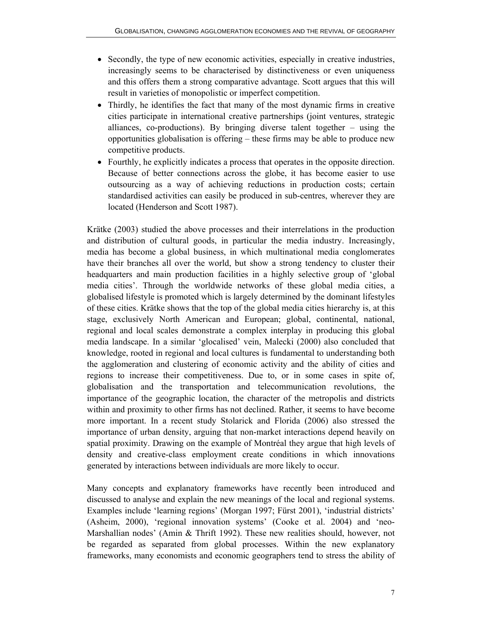- Secondly, the type of new economic activities, especially in creative industries, increasingly seems to be characterised by distinctiveness or even uniqueness and this offers them a strong comparative advantage. Scott argues that this will result in varieties of monopolistic or imperfect competition.
- Thirdly, he identifies the fact that many of the most dynamic firms in creative cities participate in international creative partnerships (joint ventures, strategic alliances, co-productions). By bringing diverse talent together – using the opportunities globalisation is offering – these firms may be able to produce new competitive products.
- Fourthly, he explicitly indicates a process that operates in the opposite direction. Because of better connections across the globe, it has become easier to use outsourcing as a way of achieving reductions in production costs; certain standardised activities can easily be produced in sub-centres, wherever they are located (Henderson and Scott 1987).

Krätke (2003) studied the above processes and their interrelations in the production and distribution of cultural goods, in particular the media industry. Increasingly, media has become a global business, in which multinational media conglomerates have their branches all over the world, but show a strong tendency to cluster their headquarters and main production facilities in a highly selective group of 'global media cities'. Through the worldwide networks of these global media cities, a globalised lifestyle is promoted which is largely determined by the dominant lifestyles of these cities. Krätke shows that the top of the global media cities hierarchy is, at this stage, exclusively North American and European; global, continental, national, regional and local scales demonstrate a complex interplay in producing this global media landscape. In a similar 'glocalised' vein, Malecki (2000) also concluded that knowledge, rooted in regional and local cultures is fundamental to understanding both the agglomeration and clustering of economic activity and the ability of cities and regions to increase their competitiveness. Due to, or in some cases in spite of, globalisation and the transportation and telecommunication revolutions, the importance of the geographic location, the character of the metropolis and districts within and proximity to other firms has not declined. Rather, it seems to have become more important. In a recent study Stolarick and Florida (2006) also stressed the importance of urban density, arguing that non-market interactions depend heavily on spatial proximity. Drawing on the example of Montréal they argue that high levels of density and creative-class employment create conditions in which innovations generated by interactions between individuals are more likely to occur.

Many concepts and explanatory frameworks have recently been introduced and discussed to analyse and explain the new meanings of the local and regional systems. Examples include 'learning regions' (Morgan 1997; Fürst 2001), 'industrial districts' (Asheim, 2000), 'regional innovation systems' (Cooke et al. 2004) and 'neo-Marshallian nodes' (Amin & Thrift 1992). These new realities should, however, not be regarded as separated from global processes. Within the new explanatory frameworks, many economists and economic geographers tend to stress the ability of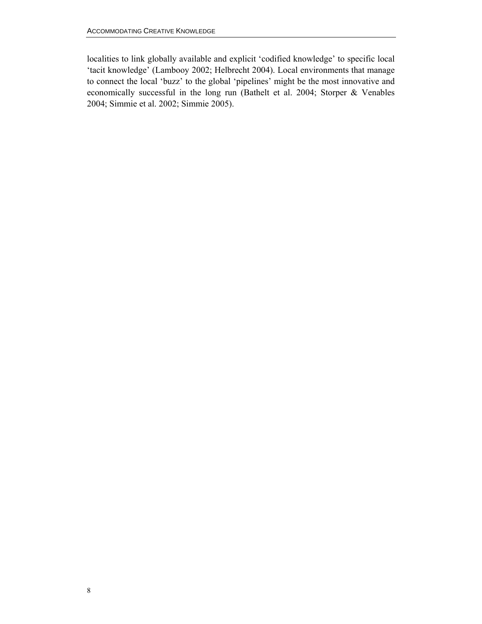localities to link globally available and explicit 'codified knowledge' to specific local 'tacit knowledge' (Lambooy 2002; Helbrecht 2004). Local environments that manage to connect the local 'buzz' to the global 'pipelines' might be the most innovative and economically successful in the long run (Bathelt et al. 2004; Storper & Venables 2004; Simmie et al. 2002; Simmie 2005).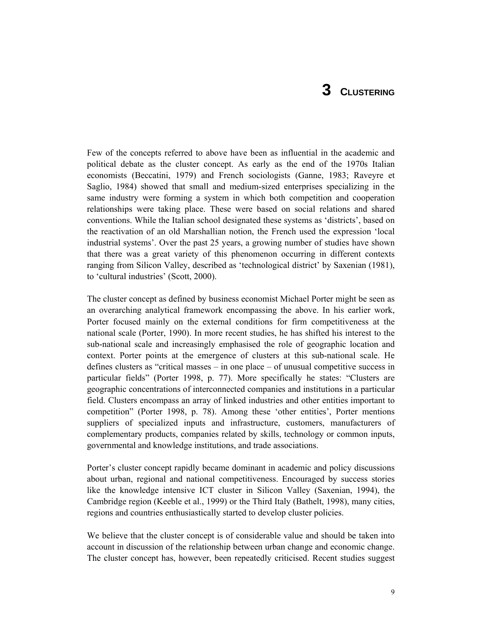# **3 CLUSTERING**

Few of the concepts referred to above have been as influential in the academic and political debate as the cluster concept. As early as the end of the 1970s Italian economists (Beccatini, 1979) and French sociologists (Ganne, 1983; Raveyre et Saglio, 1984) showed that small and medium-sized enterprises specializing in the same industry were forming a system in which both competition and cooperation relationships were taking place. These were based on social relations and shared conventions. While the Italian school designated these systems as 'districts', based on the reactivation of an old Marshallian notion, the French used the expression 'local industrial systems'. Over the past 25 years, a growing number of studies have shown that there was a great variety of this phenomenon occurring in different contexts ranging from Silicon Valley, described as 'technological district' by Saxenian (1981), to 'cultural industries' (Scott, 2000).

The cluster concept as defined by business economist Michael Porter might be seen as an overarching analytical framework encompassing the above. In his earlier work, Porter focused mainly on the external conditions for firm competitiveness at the national scale (Porter, 1990). In more recent studies, he has shifted his interest to the sub-national scale and increasingly emphasised the role of geographic location and context. Porter points at the emergence of clusters at this sub-national scale. He defines clusters as "critical masses – in one place – of unusual competitive success in particular fields" (Porter 1998, p. 77). More specifically he states: "Clusters are geographic concentrations of interconnected companies and institutions in a particular field. Clusters encompass an array of linked industries and other entities important to competition" (Porter 1998, p. 78). Among these 'other entities', Porter mentions suppliers of specialized inputs and infrastructure, customers, manufacturers of complementary products, companies related by skills, technology or common inputs, governmental and knowledge institutions, and trade associations.

Porter's cluster concept rapidly became dominant in academic and policy discussions about urban, regional and national competitiveness. Encouraged by success stories like the knowledge intensive ICT cluster in Silicon Valley (Saxenian, 1994), the Cambridge region (Keeble et al., 1999) or the Third Italy (Bathelt, 1998), many cities, regions and countries enthusiastically started to develop cluster policies.

We believe that the cluster concept is of considerable value and should be taken into account in discussion of the relationship between urban change and economic change. The cluster concept has, however, been repeatedly criticised. Recent studies suggest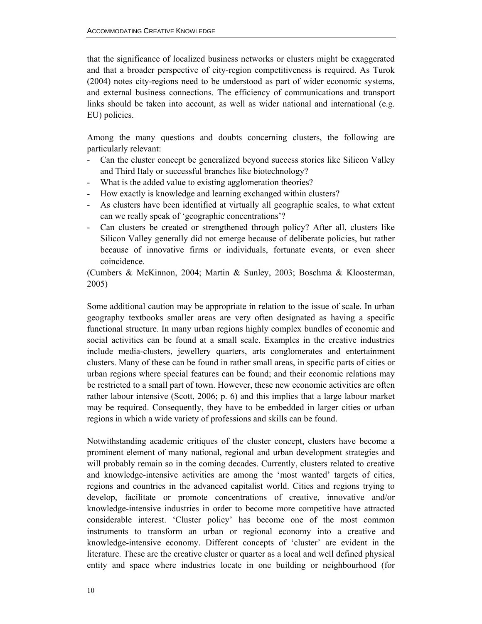that the significance of localized business networks or clusters might be exaggerated and that a broader perspective of city-region competitiveness is required. As Turok (2004) notes city-regions need to be understood as part of wider economic systems, and external business connections. The efficiency of communications and transport links should be taken into account, as well as wider national and international (e.g. EU) policies.

Among the many questions and doubts concerning clusters, the following are particularly relevant:

- Can the cluster concept be generalized beyond success stories like Silicon Valley and Third Italy or successful branches like biotechnology?
- What is the added value to existing agglomeration theories?
- How exactly is knowledge and learning exchanged within clusters?
- As clusters have been identified at virtually all geographic scales, to what extent can we really speak of 'geographic concentrations'?
- Can clusters be created or strengthened through policy? After all, clusters like Silicon Valley generally did not emerge because of deliberate policies, but rather because of innovative firms or individuals, fortunate events, or even sheer coincidence.

(Cumbers & McKinnon, 2004; Martin & Sunley, 2003; Boschma & Kloosterman, 2005)

Some additional caution may be appropriate in relation to the issue of scale. In urban geography textbooks smaller areas are very often designated as having a specific functional structure. In many urban regions highly complex bundles of economic and social activities can be found at a small scale. Examples in the creative industries include media-clusters, jewellery quarters, arts conglomerates and entertainment clusters. Many of these can be found in rather small areas, in specific parts of cities or urban regions where special features can be found; and their economic relations may be restricted to a small part of town. However, these new economic activities are often rather labour intensive (Scott, 2006; p. 6) and this implies that a large labour market may be required. Consequently, they have to be embedded in larger cities or urban regions in which a wide variety of professions and skills can be found.

Notwithstanding academic critiques of the cluster concept, clusters have become a prominent element of many national, regional and urban development strategies and will probably remain so in the coming decades. Currently, clusters related to creative and knowledge-intensive activities are among the 'most wanted' targets of cities, regions and countries in the advanced capitalist world. Cities and regions trying to develop, facilitate or promote concentrations of creative, innovative and/or knowledge-intensive industries in order to become more competitive have attracted considerable interest. 'Cluster policy' has become one of the most common instruments to transform an urban or regional economy into a creative and knowledge-intensive economy. Different concepts of 'cluster' are evident in the literature. These are the creative cluster or quarter as a local and well defined physical entity and space where industries locate in one building or neighbourhood (for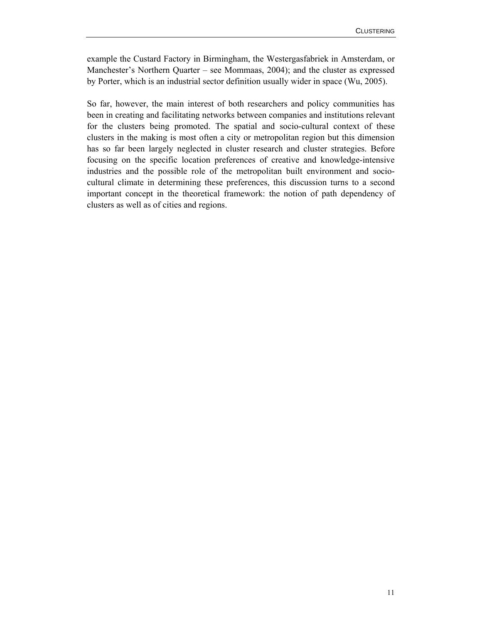example the Custard Factory in Birmingham, the Westergasfabriek in Amsterdam, or Manchester's Northern Quarter – see Mommaas, 2004); and the cluster as expressed by Porter, which is an industrial sector definition usually wider in space (Wu, 2005).

So far, however, the main interest of both researchers and policy communities has been in creating and facilitating networks between companies and institutions relevant for the clusters being promoted. The spatial and socio-cultural context of these clusters in the making is most often a city or metropolitan region but this dimension has so far been largely neglected in cluster research and cluster strategies. Before focusing on the specific location preferences of creative and knowledge-intensive industries and the possible role of the metropolitan built environment and sociocultural climate in determining these preferences, this discussion turns to a second important concept in the theoretical framework: the notion of path dependency of clusters as well as of cities and regions.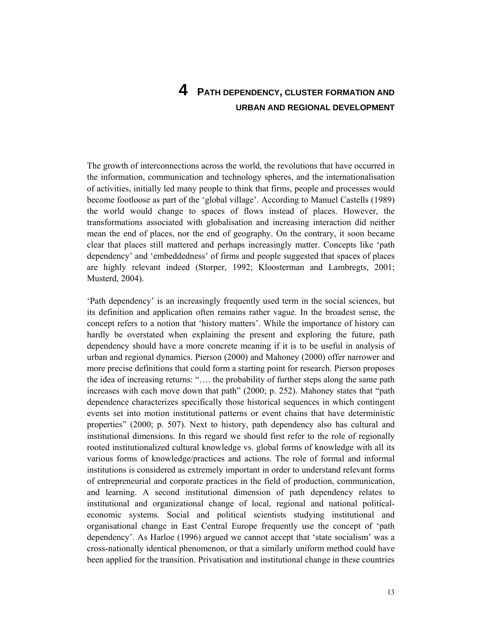# **4 PATH DEPENDENCY, CLUSTER FORMATION AND URBAN AND REGIONAL DEVELOPMENT**

The growth of interconnections across the world, the revolutions that have occurred in the information, communication and technology spheres, and the internationalisation of activities, initially led many people to think that firms, people and processes would become footloose as part of the 'global village'. According to Manuel Castells (1989) the world would change to spaces of flows instead of places. However, the transformations associated with globalisation and increasing interaction did neither mean the end of places, nor the end of geography. On the contrary, it soon became clear that places still mattered and perhaps increasingly matter. Concepts like 'path dependency' and 'embeddedness' of firms and people suggested that spaces of places are highly relevant indeed (Storper, 1992; Kloosterman and Lambregts, 2001; Musterd, 2004).

'Path dependency' is an increasingly frequently used term in the social sciences, but its definition and application often remains rather vague. In the broadest sense, the concept refers to a notion that 'history matters'. While the importance of history can hardly be overstated when explaining the present and exploring the future, path dependency should have a more concrete meaning if it is to be useful in analysis of urban and regional dynamics. Pierson (2000) and Mahoney (2000) offer narrower and more precise definitions that could form a starting point for research. Pierson proposes the idea of increasing returns: "…. the probability of further steps along the same path increases with each move down that path" (2000; p. 252). Mahoney states that "path dependence characterizes specifically those historical sequences in which contingent events set into motion institutional patterns or event chains that have deterministic properties" (2000; p. 507). Next to history, path dependency also has cultural and institutional dimensions. In this regard we should first refer to the role of regionally rooted institutionalized cultural knowledge vs. global forms of knowledge with all its various forms of knowledge/practices and actions. The role of formal and informal institutions is considered as extremely important in order to understand relevant forms of entrepreneurial and corporate practices in the field of production, communication, and learning. A second institutional dimension of path dependency relates to institutional and organizational change of local, regional and national politicaleconomic systems. Social and political scientists studying institutional and organisational change in East Central Europe frequently use the concept of 'path dependency'. As Harloe (1996) argued we cannot accept that 'state socialism' was a cross-nationally identical phenomenon, or that a similarly uniform method could have been applied for the transition. Privatisation and institutional change in these countries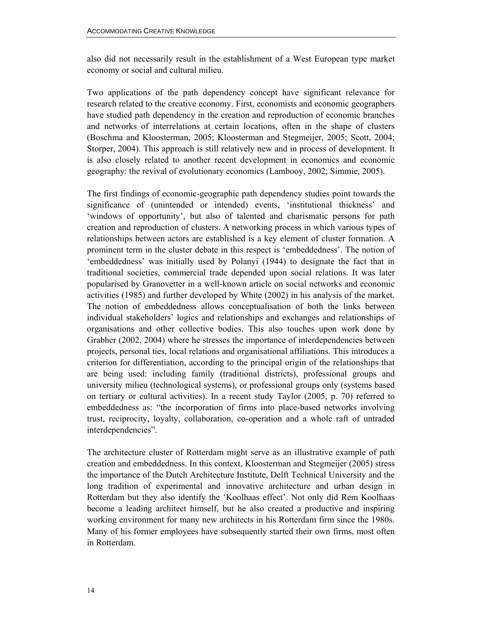also did not necessarily result in the establishment of a West European type market economy or social and cultural milieu.

Two applications of the path dependency concept have significant relevance for research related to the creative economy. First, economists and economic geographers have studied path dependency in the creation and reproduction of economic branches and networks of interrelations at certain locations, often in the shape of clusters (Boschma and Kloosterman, 2005; Kloosterman and Stegmeijer, 2005; Scott, 2004; Storper, 2004). This approach is still relatively new and in process of development. It is also closely related to another recent development in economics and economic geography: the revival of evolutionary economics (Lambooy, 2002; Simmie, 2005).

The first findings of economic-geographic path dependency studies point towards the significance of (unintended or intended) events, 'institutional thickness' and 'windows of opportunity', but also of talented and charismatic persons for path creation and reproduction of clusters. A networking process in which various types of relationships between actors are established is a key element of cluster formation. A prominent term in the cluster debate in this respect is 'embeddedness'. The notion of 'embeddedness' was initially used by Polanyi (1944) to designate the fact that in traditional societies, commercial trade depended upon social relations. It was later popularised by Granovetter in a well-known article on social networks and economic activities (1985) and further developed by White (2002) in his analysis of the market. The notion of embeddedness allows conceptualisation of both the links between individual stakeholders' logics and relationships and exchanges and relationships of organisations and other collective bodies. This also touches upon work done by Grabher (2002, 2004) where he stresses the importance of interdependencies between projects, personal ties, local relations and organisational affiliations. This introduces a criterion for differentiation, according to the principal origin of the relationships that are being used: including family (traditional districts), professional groups and university milieu (technological systems), or professional groups only (systems based on tertiary or cultural activities). In a recent study Taylor (2005, p. 70) referred to embeddedness as: "the incorporation of firms into place-based networks involving trust, reciprocity, loyalty, collaboration, co-operation and a whole raft of untraded interdependencies".

The architecture cluster of Rotterdam might serve as an illustrative example of path creation and embeddedness. In this context, Kloosterman and Stegmeijer (2005) stress the importance of the Dutch Architecture Institute, Delft Technical University and the long tradition of experimental and innovative architecture and urban design in Rotterdam but they also identify the 'Koolhaas effect'. Not only did Rem Koolhaas become a leading architect himself, but he also created a productive and inspiring working environment for many new architects in his Rotterdam firm since the 1980s. Many of his former employees have subsequently started their own firms, most often in Rotterdam.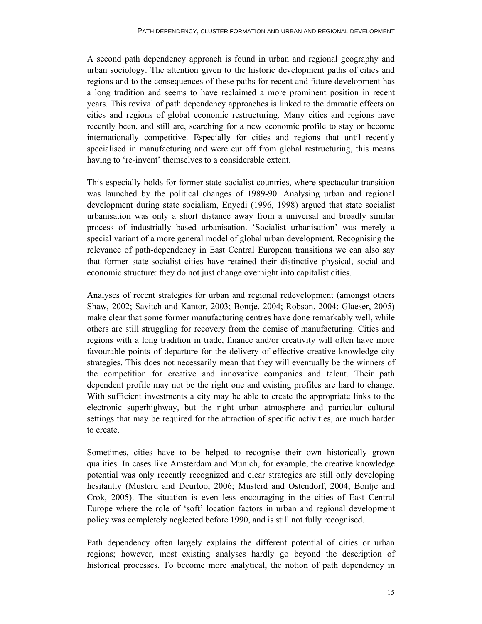A second path dependency approach is found in urban and regional geography and urban sociology. The attention given to the historic development paths of cities and regions and to the consequences of these paths for recent and future development has a long tradition and seems to have reclaimed a more prominent position in recent years. This revival of path dependency approaches is linked to the dramatic effects on cities and regions of global economic restructuring. Many cities and regions have recently been, and still are, searching for a new economic profile to stay or become internationally competitive. Especially for cities and regions that until recently specialised in manufacturing and were cut off from global restructuring, this means having to 're-invent' themselves to a considerable extent.

This especially holds for former state-socialist countries, where spectacular transition was launched by the political changes of 1989-90. Analysing urban and regional development during state socialism, Enyedi (1996, 1998) argued that state socialist urbanisation was only a short distance away from a universal and broadly similar process of industrially based urbanisation. 'Socialist urbanisation' was merely a special variant of a more general model of global urban development. Recognising the relevance of path-dependency in East Central European transitions we can also say that former state-socialist cities have retained their distinctive physical, social and economic structure: they do not just change overnight into capitalist cities.

Analyses of recent strategies for urban and regional redevelopment (amongst others Shaw, 2002; Savitch and Kantor, 2003; Bontje, 2004; Robson, 2004; Glaeser, 2005) make clear that some former manufacturing centres have done remarkably well, while others are still struggling for recovery from the demise of manufacturing. Cities and regions with a long tradition in trade, finance and/or creativity will often have more favourable points of departure for the delivery of effective creative knowledge city strategies. This does not necessarily mean that they will eventually be the winners of the competition for creative and innovative companies and talent. Their path dependent profile may not be the right one and existing profiles are hard to change. With sufficient investments a city may be able to create the appropriate links to the electronic superhighway, but the right urban atmosphere and particular cultural settings that may be required for the attraction of specific activities, are much harder to create.

Sometimes, cities have to be helped to recognise their own historically grown qualities. In cases like Amsterdam and Munich, for example, the creative knowledge potential was only recently recognized and clear strategies are still only developing hesitantly (Musterd and Deurloo, 2006; Musterd and Ostendorf, 2004; Bontje and Crok, 2005). The situation is even less encouraging in the cities of East Central Europe where the role of 'soft' location factors in urban and regional development policy was completely neglected before 1990, and is still not fully recognised.

Path dependency often largely explains the different potential of cities or urban regions; however, most existing analyses hardly go beyond the description of historical processes. To become more analytical, the notion of path dependency in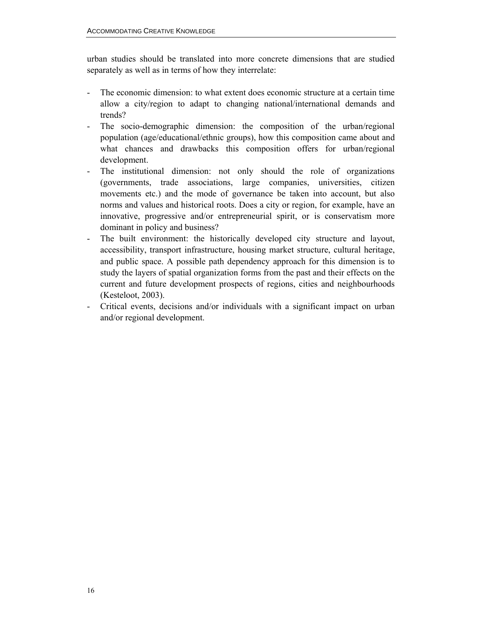urban studies should be translated into more concrete dimensions that are studied separately as well as in terms of how they interrelate:

- The economic dimension: to what extent does economic structure at a certain time allow a city/region to adapt to changing national/international demands and trends?
- The socio-demographic dimension: the composition of the urban/regional population (age/educational/ethnic groups), how this composition came about and what chances and drawbacks this composition offers for urban/regional development.
- The institutional dimension: not only should the role of organizations (governments, trade associations, large companies, universities, citizen movements etc.) and the mode of governance be taken into account, but also norms and values and historical roots. Does a city or region, for example, have an innovative, progressive and/or entrepreneurial spirit, or is conservatism more dominant in policy and business?
- The built environment: the historically developed city structure and layout, accessibility, transport infrastructure, housing market structure, cultural heritage, and public space. A possible path dependency approach for this dimension is to study the layers of spatial organization forms from the past and their effects on the current and future development prospects of regions, cities and neighbourhoods (Kesteloot, 2003).
- Critical events, decisions and/or individuals with a significant impact on urban and/or regional development.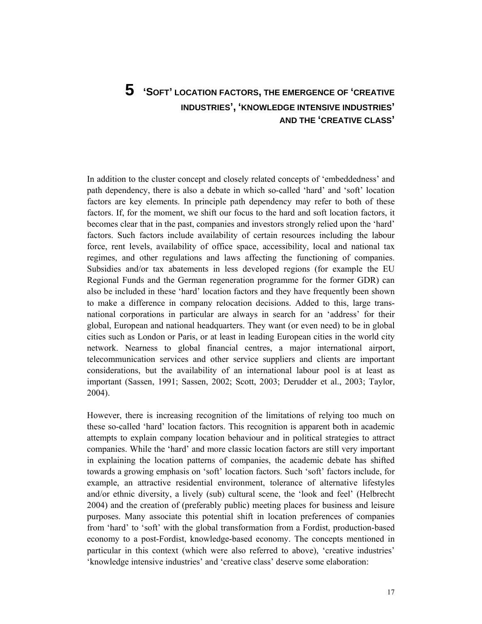# **5 'SOFT' LOCATION FACTORS, THE EMERGENCE OF 'CREATIVE INDUSTRIES', 'KNOWLEDGE INTENSIVE INDUSTRIES' AND THE 'CREATIVE CLASS'**

In addition to the cluster concept and closely related concepts of 'embeddedness' and path dependency, there is also a debate in which so-called 'hard' and 'soft' location factors are key elements. In principle path dependency may refer to both of these factors. If, for the moment, we shift our focus to the hard and soft location factors, it becomes clear that in the past, companies and investors strongly relied upon the 'hard' factors. Such factors include availability of certain resources including the labour force, rent levels, availability of office space, accessibility, local and national tax regimes, and other regulations and laws affecting the functioning of companies. Subsidies and/or tax abatements in less developed regions (for example the EU Regional Funds and the German regeneration programme for the former GDR) can also be included in these 'hard' location factors and they have frequently been shown to make a difference in company relocation decisions. Added to this, large transnational corporations in particular are always in search for an 'address' for their global, European and national headquarters. They want (or even need) to be in global cities such as London or Paris, or at least in leading European cities in the world city network. Nearness to global financial centres, a major international airport, telecommunication services and other service suppliers and clients are important considerations, but the availability of an international labour pool is at least as important (Sassen, 1991; Sassen, 2002; Scott, 2003; Derudder et al., 2003; Taylor, 2004).

However, there is increasing recognition of the limitations of relying too much on these so-called 'hard' location factors. This recognition is apparent both in academic attempts to explain company location behaviour and in political strategies to attract companies. While the 'hard' and more classic location factors are still very important in explaining the location patterns of companies, the academic debate has shifted towards a growing emphasis on 'soft' location factors. Such 'soft' factors include, for example, an attractive residential environment, tolerance of alternative lifestyles and/or ethnic diversity, a lively (sub) cultural scene, the 'look and feel' (Helbrecht 2004) and the creation of (preferably public) meeting places for business and leisure purposes. Many associate this potential shift in location preferences of companies from 'hard' to 'soft' with the global transformation from a Fordist, production-based economy to a post-Fordist, knowledge-based economy. The concepts mentioned in particular in this context (which were also referred to above), 'creative industries' 'knowledge intensive industries' and 'creative class' deserve some elaboration: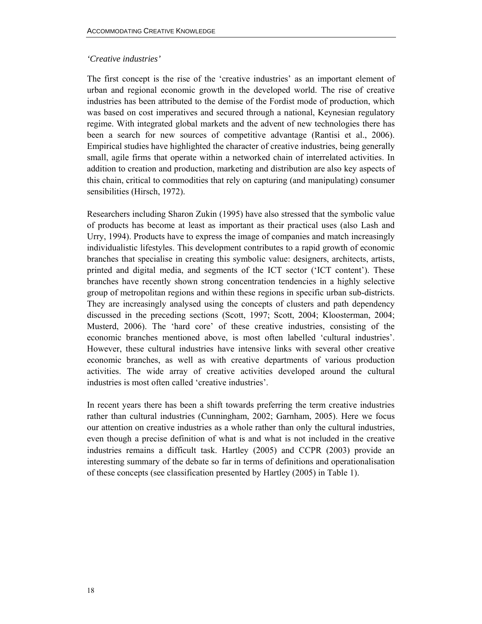### *'Creative industries'*

The first concept is the rise of the 'creative industries' as an important element of urban and regional economic growth in the developed world. The rise of creative industries has been attributed to the demise of the Fordist mode of production, which was based on cost imperatives and secured through a national, Keynesian regulatory regime. With integrated global markets and the advent of new technologies there has been a search for new sources of competitive advantage (Rantisi et al., 2006). Empirical studies have highlighted the character of creative industries, being generally small, agile firms that operate within a networked chain of interrelated activities. In addition to creation and production, marketing and distribution are also key aspects of this chain, critical to commodities that rely on capturing (and manipulating) consumer sensibilities (Hirsch, 1972).

Researchers including Sharon Zukin (1995) have also stressed that the symbolic value of products has become at least as important as their practical uses (also Lash and Urry, 1994). Products have to express the image of companies and match increasingly individualistic lifestyles. This development contributes to a rapid growth of economic branches that specialise in creating this symbolic value: designers, architects, artists, printed and digital media, and segments of the ICT sector ('ICT content'). These branches have recently shown strong concentration tendencies in a highly selective group of metropolitan regions and within these regions in specific urban sub-districts. They are increasingly analysed using the concepts of clusters and path dependency discussed in the preceding sections (Scott, 1997; Scott, 2004; Kloosterman, 2004; Musterd, 2006). The 'hard core' of these creative industries, consisting of the economic branches mentioned above, is most often labelled 'cultural industries'. However, these cultural industries have intensive links with several other creative economic branches, as well as with creative departments of various production activities. The wide array of creative activities developed around the cultural industries is most often called 'creative industries'.

In recent years there has been a shift towards preferring the term creative industries rather than cultural industries (Cunningham, 2002; Garnham, 2005). Here we focus our attention on creative industries as a whole rather than only the cultural industries, even though a precise definition of what is and what is not included in the creative industries remains a difficult task. Hartley (2005) and CCPR (2003) provide an interesting summary of the debate so far in terms of definitions and operationalisation of these concepts (see classification presented by Hartley (2005) in Table 1).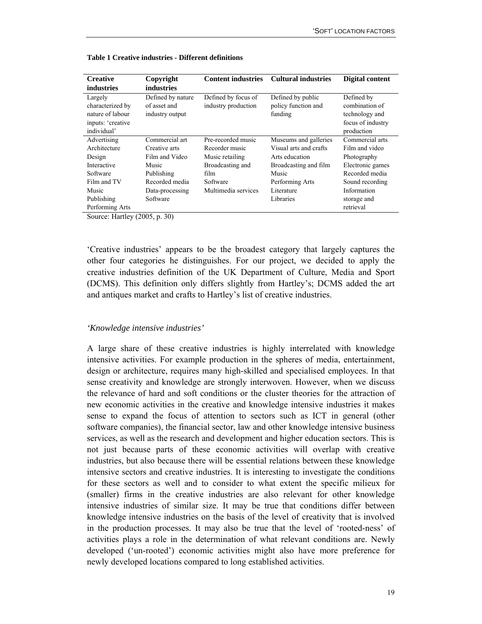| <b>Creative</b>   | Copyright         | <b>Content industries</b> | <b>Cultural industries</b> | Digital content   |
|-------------------|-------------------|---------------------------|----------------------------|-------------------|
| industries        | <i>industries</i> |                           |                            |                   |
| Largely           | Defined by nature | Defined by focus of       | Defined by public          | Defined by        |
| characterized by  | of asset and      | industry production       | policy function and        | combination of    |
| nature of labour  | industry output   |                           | funding                    | technology and    |
| inputs: 'creative |                   |                           |                            | focus of industry |
| individual'       |                   |                           |                            | production        |
| Advertising       | Commercial art    | Pre-recorded music        | Museums and galleries      | Commercial arts   |
| Architecture      | Creative arts     | Recorder music            | Visual arts and crafts     | Film and video    |
| Design            | Film and Video    | Music retailing           | Arts education             | Photography       |
| Interactive       | Music             | Broadcasting and          | Broadcasting and film      | Electronic games  |
| Software          | Publishing        | film                      | Music                      | Recorded media    |
| Film and TV       | Recorded media    | Software                  | Performing Arts            | Sound recording   |
| Music             | Data-processing   | Multimedia services       | Literature                 | Information       |
| Publishing        | Software          |                           | Libraries                  | storage and       |
| Performing Arts   |                   |                           |                            | retrieval         |

**Table 1 Creative industries - Different definitions** 

Source: Hartley (2005, p. 30)

'Creative industries' appears to be the broadest category that largely captures the other four categories he distinguishes. For our project, we decided to apply the creative industries definition of the UK Department of Culture, Media and Sport (DCMS). This definition only differs slightly from Hartley's; DCMS added the art and antiques market and crafts to Hartley's list of creative industries.

#### *'Knowledge intensive industries'*

A large share of these creative industries is highly interrelated with knowledge intensive activities. For example production in the spheres of media, entertainment, design or architecture, requires many high-skilled and specialised employees. In that sense creativity and knowledge are strongly interwoven. However, when we discuss the relevance of hard and soft conditions or the cluster theories for the attraction of new economic activities in the creative and knowledge intensive industries it makes sense to expand the focus of attention to sectors such as ICT in general (other software companies), the financial sector, law and other knowledge intensive business services, as well as the research and development and higher education sectors. This is not just because parts of these economic activities will overlap with creative industries, but also because there will be essential relations between these knowledge intensive sectors and creative industries. It is interesting to investigate the conditions for these sectors as well and to consider to what extent the specific milieux for (smaller) firms in the creative industries are also relevant for other knowledge intensive industries of similar size. It may be true that conditions differ between knowledge intensive industries on the basis of the level of creativity that is involved in the production processes. It may also be true that the level of 'rooted-ness' of activities plays a role in the determination of what relevant conditions are. Newly developed ('un-rooted') economic activities might also have more preference for newly developed locations compared to long established activities.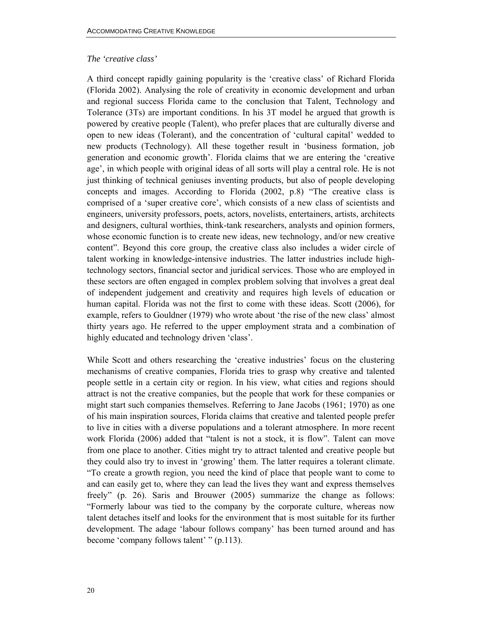### *The 'creative class'*

A third concept rapidly gaining popularity is the 'creative class' of Richard Florida (Florida 2002). Analysing the role of creativity in economic development and urban and regional success Florida came to the conclusion that Talent, Technology and Tolerance (3Ts) are important conditions. In his 3T model he argued that growth is powered by creative people (Talent), who prefer places that are culturally diverse and open to new ideas (Tolerant), and the concentration of 'cultural capital' wedded to new products (Technology). All these together result in 'business formation, job generation and economic growth'. Florida claims that we are entering the 'creative age', in which people with original ideas of all sorts will play a central role. He is not just thinking of technical geniuses inventing products, but also of people developing concepts and images. According to Florida (2002, p.8) "The creative class is comprised of a 'super creative core', which consists of a new class of scientists and engineers, university professors, poets, actors, novelists, entertainers, artists, architects and designers, cultural worthies, think-tank researchers, analysts and opinion formers, whose economic function is to create new ideas, new technology, and/or new creative content". Beyond this core group, the creative class also includes a wider circle of talent working in knowledge-intensive industries. The latter industries include hightechnology sectors, financial sector and juridical services. Those who are employed in these sectors are often engaged in complex problem solving that involves a great deal of independent judgement and creativity and requires high levels of education or human capital. Florida was not the first to come with these ideas. Scott (2006), for example, refers to Gouldner (1979) who wrote about 'the rise of the new class' almost thirty years ago. He referred to the upper employment strata and a combination of highly educated and technology driven 'class'.

While Scott and others researching the 'creative industries' focus on the clustering mechanisms of creative companies, Florida tries to grasp why creative and talented people settle in a certain city or region. In his view, what cities and regions should attract is not the creative companies, but the people that work for these companies or might start such companies themselves. Referring to Jane Jacobs (1961; 1970) as one of his main inspiration sources, Florida claims that creative and talented people prefer to live in cities with a diverse populations and a tolerant atmosphere. In more recent work Florida (2006) added that "talent is not a stock, it is flow". Talent can move from one place to another. Cities might try to attract talented and creative people but they could also try to invest in 'growing' them. The latter requires a tolerant climate. "To create a growth region, you need the kind of place that people want to come to and can easily get to, where they can lead the lives they want and express themselves freely" (p. 26). Saris and Brouwer (2005) summarize the change as follows: "Formerly labour was tied to the company by the corporate culture, whereas now talent detaches itself and looks for the environment that is most suitable for its further development. The adage 'labour follows company' has been turned around and has become 'company follows talent' " (p.113).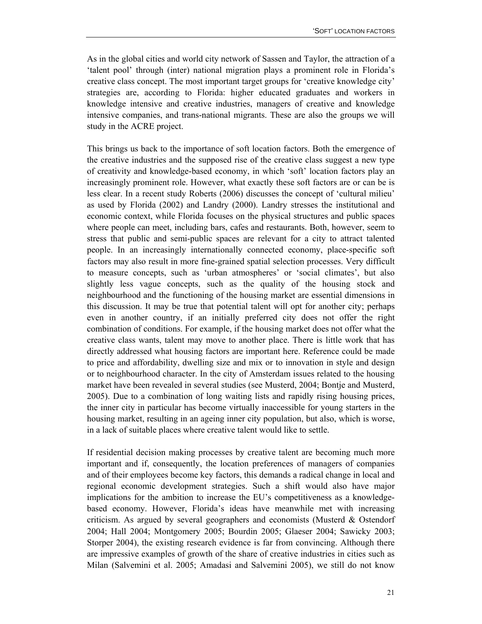As in the global cities and world city network of Sassen and Taylor, the attraction of a 'talent pool' through (inter) national migration plays a prominent role in Florida's creative class concept. The most important target groups for 'creative knowledge city' strategies are, according to Florida: higher educated graduates and workers in knowledge intensive and creative industries, managers of creative and knowledge intensive companies, and trans-national migrants. These are also the groups we will study in the ACRE project.

This brings us back to the importance of soft location factors. Both the emergence of the creative industries and the supposed rise of the creative class suggest a new type of creativity and knowledge-based economy, in which 'soft' location factors play an increasingly prominent role. However, what exactly these soft factors are or can be is less clear. In a recent study Roberts (2006) discusses the concept of 'cultural milieu' as used by Florida (2002) and Landry (2000). Landry stresses the institutional and economic context, while Florida focuses on the physical structures and public spaces where people can meet, including bars, cafes and restaurants. Both, however, seem to stress that public and semi-public spaces are relevant for a city to attract talented people. In an increasingly internationally connected economy, place-specific soft factors may also result in more fine-grained spatial selection processes. Very difficult to measure concepts, such as 'urban atmospheres' or 'social climates', but also slightly less vague concepts, such as the quality of the housing stock and neighbourhood and the functioning of the housing market are essential dimensions in this discussion. It may be true that potential talent will opt for another city; perhaps even in another country, if an initially preferred city does not offer the right combination of conditions. For example, if the housing market does not offer what the creative class wants, talent may move to another place. There is little work that has directly addressed what housing factors are important here. Reference could be made to price and affordability, dwelling size and mix or to innovation in style and design or to neighbourhood character. In the city of Amsterdam issues related to the housing market have been revealed in several studies (see Musterd, 2004; Bontje and Musterd, 2005). Due to a combination of long waiting lists and rapidly rising housing prices, the inner city in particular has become virtually inaccessible for young starters in the housing market, resulting in an ageing inner city population, but also, which is worse, in a lack of suitable places where creative talent would like to settle.

If residential decision making processes by creative talent are becoming much more important and if, consequently, the location preferences of managers of companies and of their employees become key factors, this demands a radical change in local and regional economic development strategies. Such a shift would also have major implications for the ambition to increase the EU's competitiveness as a knowledgebased economy. However, Florida's ideas have meanwhile met with increasing criticism. As argued by several geographers and economists (Musterd  $\&$  Ostendorf 2004; Hall 2004; Montgomery 2005; Bourdin 2005; Glaeser 2004; Sawicky 2003; Storper 2004), the existing research evidence is far from convincing. Although there are impressive examples of growth of the share of creative industries in cities such as Milan (Salvemini et al. 2005; Amadasi and Salvemini 2005), we still do not know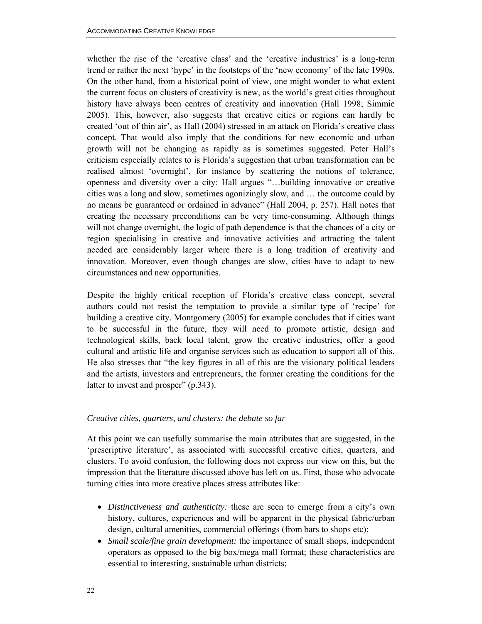whether the rise of the 'creative class' and the 'creative industries' is a long-term trend or rather the next 'hype' in the footsteps of the 'new economy' of the late 1990s. On the other hand, from a historical point of view, one might wonder to what extent the current focus on clusters of creativity is new, as the world's great cities throughout history have always been centres of creativity and innovation (Hall 1998; Simmie 2005). This, however, also suggests that creative cities or regions can hardly be created 'out of thin air', as Hall (2004) stressed in an attack on Florida's creative class concept. That would also imply that the conditions for new economic and urban growth will not be changing as rapidly as is sometimes suggested. Peter Hall's criticism especially relates to is Florida's suggestion that urban transformation can be realised almost 'overnight', for instance by scattering the notions of tolerance, openness and diversity over a city: Hall argues "…building innovative or creative cities was a long and slow, sometimes agonizingly slow, and … the outcome could by no means be guaranteed or ordained in advance" (Hall 2004, p. 257). Hall notes that creating the necessary preconditions can be very time-consuming. Although things will not change overnight, the logic of path dependence is that the chances of a city or region specialising in creative and innovative activities and attracting the talent needed are considerably larger where there is a long tradition of creativity and innovation. Moreover, even though changes are slow, cities have to adapt to new circumstances and new opportunities.

Despite the highly critical reception of Florida's creative class concept, several authors could not resist the temptation to provide a similar type of 'recipe' for building a creative city. Montgomery (2005) for example concludes that if cities want to be successful in the future, they will need to promote artistic, design and technological skills, back local talent, grow the creative industries, offer a good cultural and artistic life and organise services such as education to support all of this. He also stresses that "the key figures in all of this are the visionary political leaders and the artists, investors and entrepreneurs, the former creating the conditions for the latter to invest and prosper" (p.343).

### *Creative cities, quarters, and clusters: the debate so far*

At this point we can usefully summarise the main attributes that are suggested, in the 'prescriptive literature', as associated with successful creative cities, quarters, and clusters. To avoid confusion, the following does not express our view on this, but the impression that the literature discussed above has left on us. First, those who advocate turning cities into more creative places stress attributes like:

- *Distinctiveness and authenticity:* these are seen to emerge from a city's own history, cultures, experiences and will be apparent in the physical fabric/urban design, cultural amenities, commercial offerings (from bars to shops etc);
- *Small scale/fine grain development:* the importance of small shops, independent operators as opposed to the big box/mega mall format; these characteristics are essential to interesting, sustainable urban districts;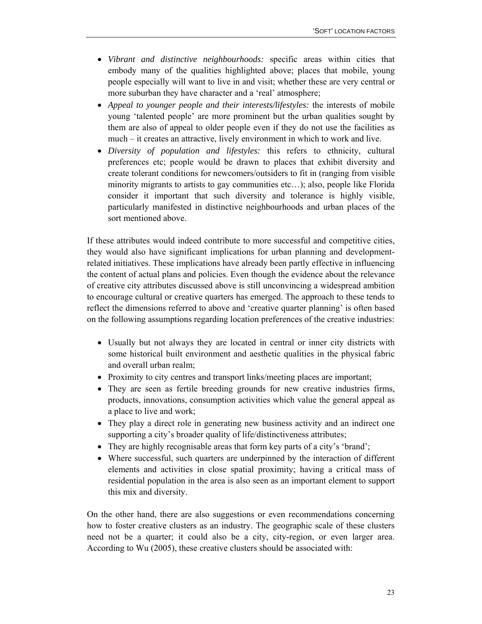- *Vibrant and distinctive neighbourhoods:* specific areas within cities that embody many of the qualities highlighted above; places that mobile, young people especially will want to live in and visit; whether these are very central or more suburban they have character and a 'real' atmosphere;
- *Appeal to younger people and their interests/lifestyles: the interests of mobile* young 'talented people' are more prominent but the urban qualities sought by them are also of appeal to older people even if they do not use the facilities as much – it creates an attractive, lively environment in which to work and live.
- *Diversity of population and lifestyles:* this refers to ethnicity, cultural preferences etc; people would be drawn to places that exhibit diversity and create tolerant conditions for newcomers/outsiders to fit in (ranging from visible minority migrants to artists to gay communities etc…); also, people like Florida consider it important that such diversity and tolerance is highly visible, particularly manifested in distinctive neighbourhoods and urban places of the sort mentioned above.

If these attributes would indeed contribute to more successful and competitive cities, they would also have significant implications for urban planning and developmentrelated initiatives. These implications have already been partly effective in influencing the content of actual plans and policies. Even though the evidence about the relevance of creative city attributes discussed above is still unconvincing a widespread ambition to encourage cultural or creative quarters has emerged. The approach to these tends to reflect the dimensions referred to above and 'creative quarter planning' is often based on the following assumptions regarding location preferences of the creative industries:

- Usually but not always they are located in central or inner city districts with some historical built environment and aesthetic qualities in the physical fabric and overall urban realm;
- Proximity to city centres and transport links/meeting places are important;
- They are seen as fertile breeding grounds for new creative industries firms, products, innovations, consumption activities which value the general appeal as a place to live and work;
- They play a direct role in generating new business activity and an indirect one supporting a city's broader quality of life/distinctiveness attributes;
- They are highly recognisable areas that form key parts of a city's 'brand';
- Where successful, such quarters are underpinned by the interaction of different elements and activities in close spatial proximity; having a critical mass of residential population in the area is also seen as an important element to support this mix and diversity.

On the other hand, there are also suggestions or even recommendations concerning how to foster creative clusters as an industry. The geographic scale of these clusters need not be a quarter; it could also be a city, city-region, or even larger area. According to Wu (2005), these creative clusters should be associated with: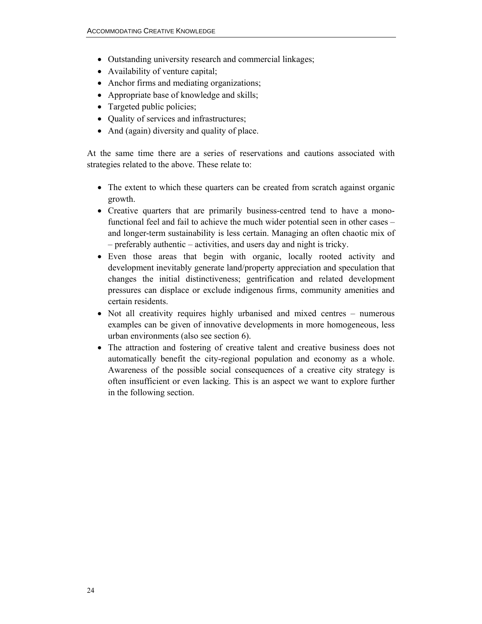- Outstanding university research and commercial linkages;
- Availability of venture capital;
- Anchor firms and mediating organizations;
- Appropriate base of knowledge and skills;
- Targeted public policies;
- Quality of services and infrastructures;
- And (again) diversity and quality of place.

At the same time there are a series of reservations and cautions associated with strategies related to the above. These relate to:

- The extent to which these quarters can be created from scratch against organic growth.
- Creative quarters that are primarily business-centred tend to have a monofunctional feel and fail to achieve the much wider potential seen in other cases – and longer-term sustainability is less certain. Managing an often chaotic mix of – preferably authentic – activities, and users day and night is tricky.
- Even those areas that begin with organic, locally rooted activity and development inevitably generate land/property appreciation and speculation that changes the initial distinctiveness; gentrification and related development pressures can displace or exclude indigenous firms, community amenities and certain residents.
- Not all creativity requires highly urbanised and mixed centres numerous examples can be given of innovative developments in more homogeneous, less urban environments (also see section 6).
- The attraction and fostering of creative talent and creative business does not automatically benefit the city-regional population and economy as a whole. Awareness of the possible social consequences of a creative city strategy is often insufficient or even lacking. This is an aspect we want to explore further in the following section.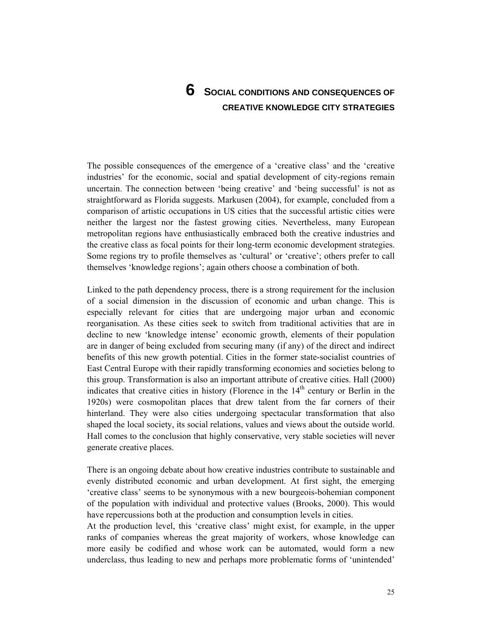# **6 SOCIAL CONDITIONS AND CONSEQUENCES OF CREATIVE KNOWLEDGE CITY STRATEGIES**

The possible consequences of the emergence of a 'creative class' and the 'creative industries' for the economic, social and spatial development of city-regions remain uncertain. The connection between 'being creative' and 'being successful' is not as straightforward as Florida suggests. Markusen (2004), for example, concluded from a comparison of artistic occupations in US cities that the successful artistic cities were neither the largest nor the fastest growing cities. Nevertheless, many European metropolitan regions have enthusiastically embraced both the creative industries and the creative class as focal points for their long-term economic development strategies. Some regions try to profile themselves as 'cultural' or 'creative'; others prefer to call themselves 'knowledge regions'; again others choose a combination of both.

Linked to the path dependency process, there is a strong requirement for the inclusion of a social dimension in the discussion of economic and urban change. This is especially relevant for cities that are undergoing major urban and economic reorganisation. As these cities seek to switch from traditional activities that are in decline to new 'knowledge intense' economic growth, elements of their population are in danger of being excluded from securing many (if any) of the direct and indirect benefits of this new growth potential. Cities in the former state-socialist countries of East Central Europe with their rapidly transforming economies and societies belong to this group. Transformation is also an important attribute of creative cities. Hall (2000) indicates that creative cities in history (Florence in the  $14<sup>th</sup>$  century or Berlin in the 1920s) were cosmopolitan places that drew talent from the far corners of their hinterland. They were also cities undergoing spectacular transformation that also shaped the local society, its social relations, values and views about the outside world. Hall comes to the conclusion that highly conservative, very stable societies will never generate creative places.

There is an ongoing debate about how creative industries contribute to sustainable and evenly distributed economic and urban development. At first sight, the emerging 'creative class' seems to be synonymous with a new bourgeois-bohemian component of the population with individual and protective values (Brooks, 2000). This would have repercussions both at the production and consumption levels in cities.

At the production level, this 'creative class' might exist, for example, in the upper ranks of companies whereas the great majority of workers, whose knowledge can more easily be codified and whose work can be automated, would form a new underclass, thus leading to new and perhaps more problematic forms of 'unintended'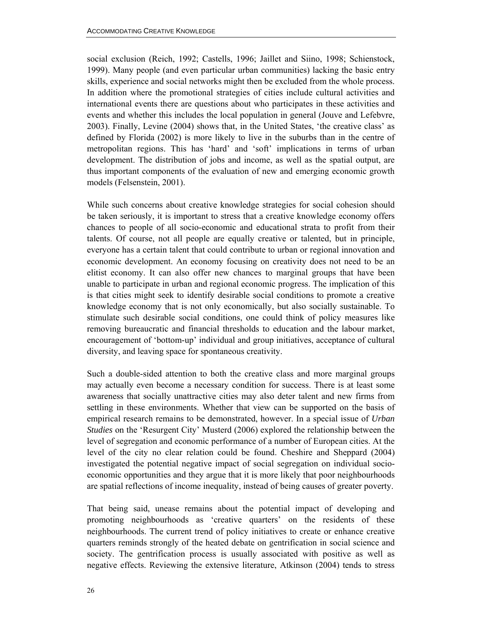social exclusion (Reich, 1992; Castells, 1996; Jaillet and Siino, 1998; Schienstock, 1999). Many people (and even particular urban communities) lacking the basic entry skills, experience and social networks might then be excluded from the whole process. In addition where the promotional strategies of cities include cultural activities and international events there are questions about who participates in these activities and events and whether this includes the local population in general (Jouve and Lefebvre, 2003). Finally, Levine (2004) shows that, in the United States, 'the creative class' as defined by Florida (2002) is more likely to live in the suburbs than in the centre of metropolitan regions. This has 'hard' and 'soft' implications in terms of urban development. The distribution of jobs and income, as well as the spatial output, are thus important components of the evaluation of new and emerging economic growth models (Felsenstein, 2001).

While such concerns about creative knowledge strategies for social cohesion should be taken seriously, it is important to stress that a creative knowledge economy offers chances to people of all socio-economic and educational strata to profit from their talents. Of course, not all people are equally creative or talented, but in principle, everyone has a certain talent that could contribute to urban or regional innovation and economic development. An economy focusing on creativity does not need to be an elitist economy. It can also offer new chances to marginal groups that have been unable to participate in urban and regional economic progress. The implication of this is that cities might seek to identify desirable social conditions to promote a creative knowledge economy that is not only economically, but also socially sustainable. To stimulate such desirable social conditions, one could think of policy measures like removing bureaucratic and financial thresholds to education and the labour market, encouragement of 'bottom-up' individual and group initiatives, acceptance of cultural diversity, and leaving space for spontaneous creativity.

Such a double-sided attention to both the creative class and more marginal groups may actually even become a necessary condition for success. There is at least some awareness that socially unattractive cities may also deter talent and new firms from settling in these environments. Whether that view can be supported on the basis of empirical research remains to be demonstrated, however. In a special issue of *Urban Studies* on the 'Resurgent City' Musterd (2006) explored the relationship between the level of segregation and economic performance of a number of European cities. At the level of the city no clear relation could be found. Cheshire and Sheppard (2004) investigated the potential negative impact of social segregation on individual socioeconomic opportunities and they argue that it is more likely that poor neighbourhoods are spatial reflections of income inequality, instead of being causes of greater poverty.

That being said, unease remains about the potential impact of developing and promoting neighbourhoods as 'creative quarters' on the residents of these neighbourhoods. The current trend of policy initiatives to create or enhance creative quarters reminds strongly of the heated debate on gentrification in social science and society. The gentrification process is usually associated with positive as well as negative effects. Reviewing the extensive literature, Atkinson (2004) tends to stress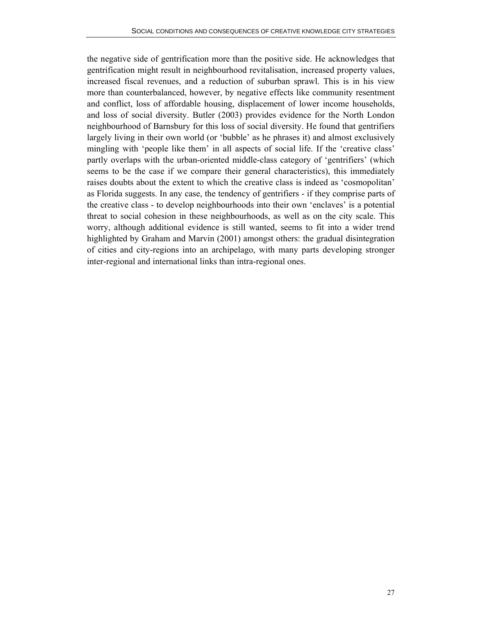the negative side of gentrification more than the positive side. He acknowledges that gentrification might result in neighbourhood revitalisation, increased property values, increased fiscal revenues, and a reduction of suburban sprawl. This is in his view more than counterbalanced, however, by negative effects like community resentment and conflict, loss of affordable housing, displacement of lower income households, and loss of social diversity. Butler (2003) provides evidence for the North London neighbourhood of Barnsbury for this loss of social diversity. He found that gentrifiers largely living in their own world (or 'bubble' as he phrases it) and almost exclusively mingling with 'people like them' in all aspects of social life. If the 'creative class' partly overlaps with the urban-oriented middle-class category of 'gentrifiers' (which seems to be the case if we compare their general characteristics), this immediately raises doubts about the extent to which the creative class is indeed as 'cosmopolitan' as Florida suggests. In any case, the tendency of gentrifiers - if they comprise parts of the creative class - to develop neighbourhoods into their own 'enclaves' is a potential threat to social cohesion in these neighbourhoods, as well as on the city scale. This worry, although additional evidence is still wanted, seems to fit into a wider trend highlighted by Graham and Marvin (2001) amongst others: the gradual disintegration of cities and city-regions into an archipelago, with many parts developing stronger inter-regional and international links than intra-regional ones.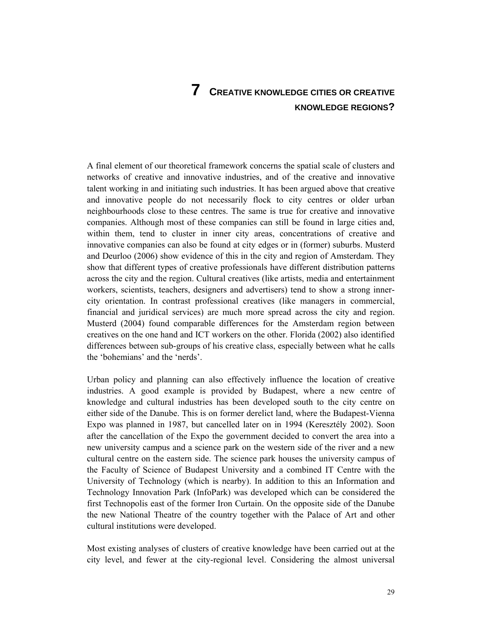# **7 CREATIVE KNOWLEDGE CITIES OR CREATIVE KNOWLEDGE REGIONS?**

A final element of our theoretical framework concerns the spatial scale of clusters and networks of creative and innovative industries, and of the creative and innovative talent working in and initiating such industries. It has been argued above that creative and innovative people do not necessarily flock to city centres or older urban neighbourhoods close to these centres. The same is true for creative and innovative companies. Although most of these companies can still be found in large cities and, within them, tend to cluster in inner city areas, concentrations of creative and innovative companies can also be found at city edges or in (former) suburbs. Musterd and Deurloo (2006) show evidence of this in the city and region of Amsterdam. They show that different types of creative professionals have different distribution patterns across the city and the region. Cultural creatives (like artists, media and entertainment workers, scientists, teachers, designers and advertisers) tend to show a strong innercity orientation. In contrast professional creatives (like managers in commercial, financial and juridical services) are much more spread across the city and region. Musterd (2004) found comparable differences for the Amsterdam region between creatives on the one hand and ICT workers on the other. Florida (2002) also identified differences between sub-groups of his creative class, especially between what he calls the 'bohemians' and the 'nerds'.

Urban policy and planning can also effectively influence the location of creative industries. A good example is provided by Budapest, where a new centre of knowledge and cultural industries has been developed south to the city centre on either side of the Danube. This is on former derelict land, where the Budapest-Vienna Expo was planned in 1987, but cancelled later on in 1994 (Keresztély 2002). Soon after the cancellation of the Expo the government decided to convert the area into a new university campus and a science park on the western side of the river and a new cultural centre on the eastern side. The science park houses the university campus of the Faculty of Science of Budapest University and a combined IT Centre with the University of Technology (which is nearby). In addition to this an Information and Technology Innovation Park (InfoPark) was developed which can be considered the first Technopolis east of the former Iron Curtain. On the opposite side of the Danube the new National Theatre of the country together with the Palace of Art and other cultural institutions were developed.

Most existing analyses of clusters of creative knowledge have been carried out at the city level, and fewer at the city-regional level. Considering the almost universal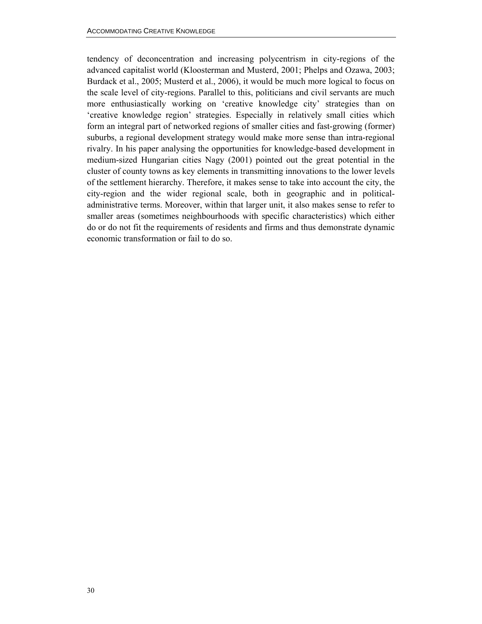tendency of deconcentration and increasing polycentrism in city-regions of the advanced capitalist world (Kloosterman and Musterd, 2001; Phelps and Ozawa, 2003; Burdack et al., 2005; Musterd et al., 2006), it would be much more logical to focus on the scale level of city-regions. Parallel to this, politicians and civil servants are much more enthusiastically working on 'creative knowledge city' strategies than on 'creative knowledge region' strategies. Especially in relatively small cities which form an integral part of networked regions of smaller cities and fast-growing (former) suburbs, a regional development strategy would make more sense than intra-regional rivalry. In his paper analysing the opportunities for knowledge-based development in medium-sized Hungarian cities Nagy (2001) pointed out the great potential in the cluster of county towns as key elements in transmitting innovations to the lower levels of the settlement hierarchy. Therefore, it makes sense to take into account the city, the city-region and the wider regional scale, both in geographic and in politicaladministrative terms. Moreover, within that larger unit, it also makes sense to refer to smaller areas (sometimes neighbourhoods with specific characteristics) which either do or do not fit the requirements of residents and firms and thus demonstrate dynamic economic transformation or fail to do so.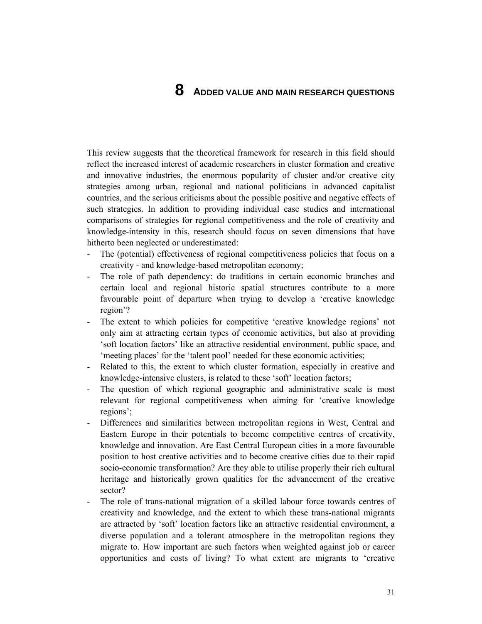# **8 ADDED VALUE AND MAIN RESEARCH QUESTIONS**

This review suggests that the theoretical framework for research in this field should reflect the increased interest of academic researchers in cluster formation and creative and innovative industries, the enormous popularity of cluster and/or creative city strategies among urban, regional and national politicians in advanced capitalist countries, and the serious criticisms about the possible positive and negative effects of such strategies. In addition to providing individual case studies and international comparisons of strategies for regional competitiveness and the role of creativity and knowledge-intensity in this, research should focus on seven dimensions that have hitherto been neglected or underestimated:

- The (potential) effectiveness of regional competitiveness policies that focus on a creativity - and knowledge-based metropolitan economy;
- The role of path dependency: do traditions in certain economic branches and certain local and regional historic spatial structures contribute to a more favourable point of departure when trying to develop a 'creative knowledge region'?
- The extent to which policies for competitive 'creative knowledge regions' not only aim at attracting certain types of economic activities, but also at providing 'soft location factors' like an attractive residential environment, public space, and 'meeting places' for the 'talent pool' needed for these economic activities;
- Related to this, the extent to which cluster formation, especially in creative and knowledge-intensive clusters, is related to these 'soft' location factors;
- The question of which regional geographic and administrative scale is most relevant for regional competitiveness when aiming for 'creative knowledge regions';
- Differences and similarities between metropolitan regions in West, Central and Eastern Europe in their potentials to become competitive centres of creativity, knowledge and innovation. Are East Central European cities in a more favourable position to host creative activities and to become creative cities due to their rapid socio-economic transformation? Are they able to utilise properly their rich cultural heritage and historically grown qualities for the advancement of the creative sector?
- The role of trans-national migration of a skilled labour force towards centres of creativity and knowledge, and the extent to which these trans-national migrants are attracted by 'soft' location factors like an attractive residential environment, a diverse population and a tolerant atmosphere in the metropolitan regions they migrate to. How important are such factors when weighted against job or career opportunities and costs of living? To what extent are migrants to 'creative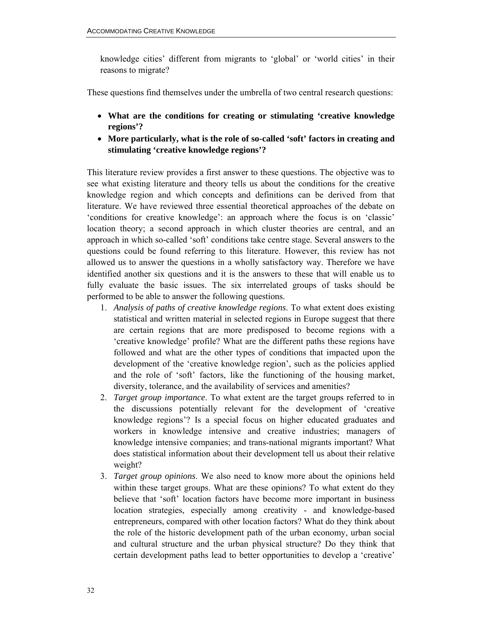knowledge cities' different from migrants to 'global' or 'world cities' in their reasons to migrate?

These questions find themselves under the umbrella of two central research questions:

- **What are the conditions for creating or stimulating 'creative knowledge regions'?**
- **More particularly, what is the role of so-called 'soft' factors in creating and stimulating 'creative knowledge regions'?**

This literature review provides a first answer to these questions. The objective was to see what existing literature and theory tells us about the conditions for the creative knowledge region and which concepts and definitions can be derived from that literature. We have reviewed three essential theoretical approaches of the debate on 'conditions for creative knowledge': an approach where the focus is on 'classic' location theory; a second approach in which cluster theories are central, and an approach in which so-called 'soft' conditions take centre stage. Several answers to the questions could be found referring to this literature. However, this review has not allowed us to answer the questions in a wholly satisfactory way. Therefore we have identified another six questions and it is the answers to these that will enable us to fully evaluate the basic issues. The six interrelated groups of tasks should be performed to be able to answer the following questions.

- 1. *Analysis of paths of creative knowledge regions*. To what extent does existing statistical and written material in selected regions in Europe suggest that there are certain regions that are more predisposed to become regions with a 'creative knowledge' profile? What are the different paths these regions have followed and what are the other types of conditions that impacted upon the development of the 'creative knowledge region', such as the policies applied and the role of 'soft' factors, like the functioning of the housing market, diversity, tolerance, and the availability of services and amenities?
- 2. *Target group importance*. To what extent are the target groups referred to in the discussions potentially relevant for the development of 'creative knowledge regions'? Is a special focus on higher educated graduates and workers in knowledge intensive and creative industries; managers of knowledge intensive companies; and trans-national migrants important? What does statistical information about their development tell us about their relative weight?
- 3. *Target group opinions*. We also need to know more about the opinions held within these target groups. What are these opinions? To what extent do they believe that 'soft' location factors have become more important in business location strategies, especially among creativity - and knowledge-based entrepreneurs, compared with other location factors? What do they think about the role of the historic development path of the urban economy, urban social and cultural structure and the urban physical structure? Do they think that certain development paths lead to better opportunities to develop a 'creative'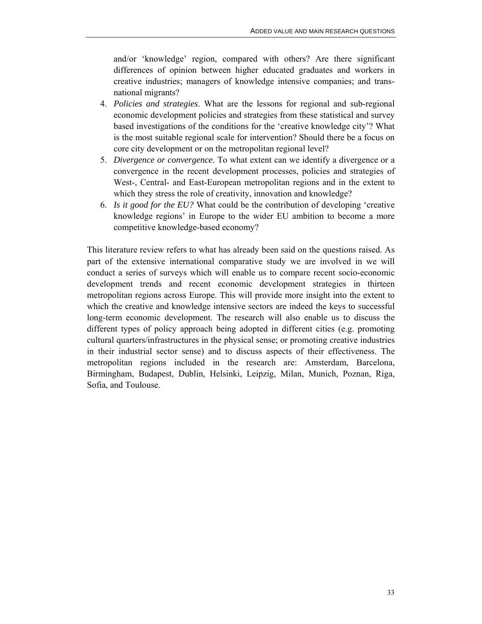and/or 'knowledge' region, compared with others? Are there significant differences of opinion between higher educated graduates and workers in creative industries; managers of knowledge intensive companies; and transnational migrants?

- 4. *Policies and strategies*. What are the lessons for regional and sub-regional economic development policies and strategies from these statistical and survey based investigations of the conditions for the 'creative knowledge city'? What is the most suitable regional scale for intervention? Should there be a focus on core city development or on the metropolitan regional level?
- 5. *Divergence or convergence*. To what extent can we identify a divergence or a convergence in the recent development processes, policies and strategies of West-, Central- and East-European metropolitan regions and in the extent to which they stress the role of creativity, innovation and knowledge?
- 6. *Is it good for the EU?* What could be the contribution of developing 'creative knowledge regions' in Europe to the wider EU ambition to become a more competitive knowledge-based economy?

This literature review refers to what has already been said on the questions raised. As part of the extensive international comparative study we are involved in we will conduct a series of surveys which will enable us to compare recent socio-economic development trends and recent economic development strategies in thirteen metropolitan regions across Europe. This will provide more insight into the extent to which the creative and knowledge intensive sectors are indeed the keys to successful long-term economic development. The research will also enable us to discuss the different types of policy approach being adopted in different cities (e.g. promoting cultural quarters/infrastructures in the physical sense; or promoting creative industries in their industrial sector sense) and to discuss aspects of their effectiveness. The metropolitan regions included in the research are: Amsterdam, Barcelona, Birmingham, Budapest, Dublin, Helsinki, Leipzig, Milan, Munich, Poznan, Riga, Sofia, and Toulouse.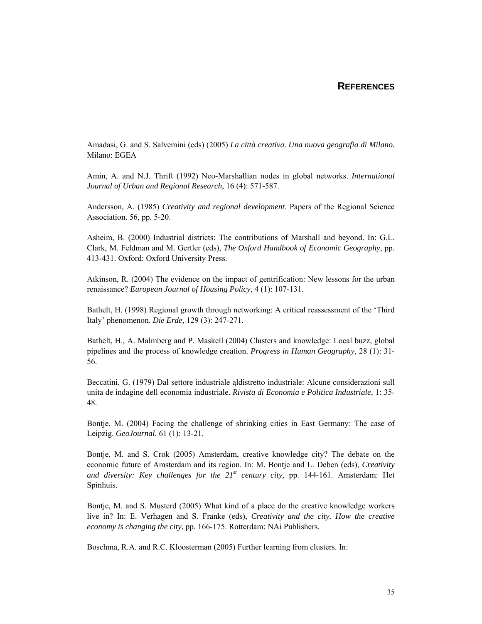### **REFERENCES**

Amadasi, G. and S. Salvemini (eds) (2005) *La città creativa*. *Una nuova geografia di Milano.*  Milano: EGEA

Amin, A. and N.J. Thrift (1992) Neo-Marshallian nodes in global networks. *International Journal of Urban and Regional Research*, 16 (4): 571-587.

Andersson, A. (1985) *Creativity and regional development*. Papers of the Regional Science Association. 56, pp. 5-20.

Asheim, B. (2000) Industrial districts: The contributions of Marshall and beyond. In: G.L. Clark, M. Feldman and M. Gertler (eds), *The Oxford Handbook of Economic Geography*, pp. 413-431. Oxford: Oxford University Press.

Atkinson, R. (2004) The evidence on the impact of gentrification: New lessons for the urban renaissance? *European Journal of Housing Policy*, 4 (1): 107-131.

Bathelt, H. (1998) Regional growth through networking: A critical reassessment of the 'Third Italy' phenomenon. *Die Erde*, 129 (3): 247-271.

Bathelt, H., A. Malmberg and P. Maskell (2004) Clusters and knowledge: Local buzz, global pipelines and the process of knowledge creation. *Progress in Human Geography*, 28 (1): 31- 56.

Beccatini, G. (1979) Dal settore industriale aldistretto industriale: Alcune considerazioni sull unita de indagine dell economia industriale. *Rivista di Economia e Politica Industriale*, 1: 35- 48.

Bontje, M. (2004) Facing the challenge of shrinking cities in East Germany: The case of Leipzig. *GeoJournal*, 61 (1): 13-21.

Bontje, M. and S. Crok (2005) Amsterdam, creative knowledge city? The debate on the economic future of Amsterdam and its region. In: M. Bontje and L. Deben (eds), *Creativity*  and diversity: Key challenges for the  $21^{st}$  century city, pp. 144-161. Amsterdam: Het Spinhuis.

Bontje, M. and S. Musterd (2005) What kind of a place do the creative knowledge workers live in? In: E. Verhagen and S. Franke (eds), *Creativity and the city. How the creative economy is changing the city*, pp. 166-175. Rotterdam: NAi Publishers.

Boschma, R.A. and R.C. Kloosterman (2005) Further learning from clusters. In: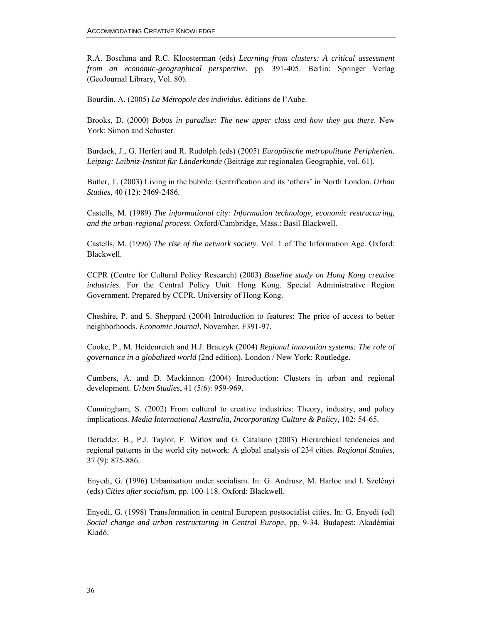R.A. Boschma and R.C. Kloosterman (eds) *Learning from clusters: A critical assessment from an economic-geographical perspective*, pp. 391-405. Berlin: Springer Verlag (GeoJournal Library, Vol. 80).

Bourdin, A. (2005) *La Métropole des individus*, éditions de l'Aube.

Brooks, D. (2000) *Bobos in paradise: The new upper class and how they got there*. New York: Simon and Schuster.

Burdack, J., G. Herfert and R. Rudolph (eds) (2005) *Europäische metropolitane Peripherien. Leipzig: Leibniz-Institut für Länderkunde* (Beiträge zur regionalen Geographie, vol. 61).

Butler, T. (2003) Living in the bubble: Gentrification and its 'others' in North London. *Urban Studies*, 40 (12): 2469-2486.

Castells, M. (1989) *The informational city: Information technology, economic restructuring, and the urban-regional process*. Oxford/Cambridge, Mass.: Basil Blackwell.

Castells, M. (1996) *The rise of the network society*. Vol. 1 of The Information Age. Oxford: Blackwell.

CCPR (Centre for Cultural Policy Research) (2003) *Baseline study on Hong Kong creative industries.* For the Central Policy Unit. Hong Kong. Special Administrative Region Government. Prepared by CCPR. University of Hong Kong.

Cheshire, P. and S. Sheppard (2004) Introduction to features: The price of access to better neighborhoods. *Economic Journal*, November, F391-97.

Cooke, P., M. Heidenreich and H.J. Braczyk (2004) *Regional innovation systems: The role of governance in a globalized world* (2nd edition). London / New York: Routledge.

Cumbers, A. and D. Mackinnon (2004) Introduction: Clusters in urban and regional development. *Urban Studies*, 41 (5/6): 959-969.

Cunningham, S. (2002) From cultural to creative industries: Theory, industry, and policy implications. *Media International Australia, Incorporating Culture & Policy, 102: 54-65.* 

Derudder, B., P.J. Taylor, F. Witlox and G. Catalano (2003) Hierarchical tendencies and regional patterns in the world city network: A global analysis of 234 cities. *Regional Studies*, 37 (9): 875-886.

Enyedi, G. (1996) Urbanisation under socialism. In: G. Andrusz, M. Harloe and I. Szelényi (eds) *Cities after socialism*, pp. 100-118. Oxford: Blackwell.

Enyedi, G. (1998) Transformation in central European postsocialist cities. In: G. Enyedi (ed) *Social change and urban restructuring in Central Europe*, pp. 9-34. Budapest: Akadémiai Kiadó.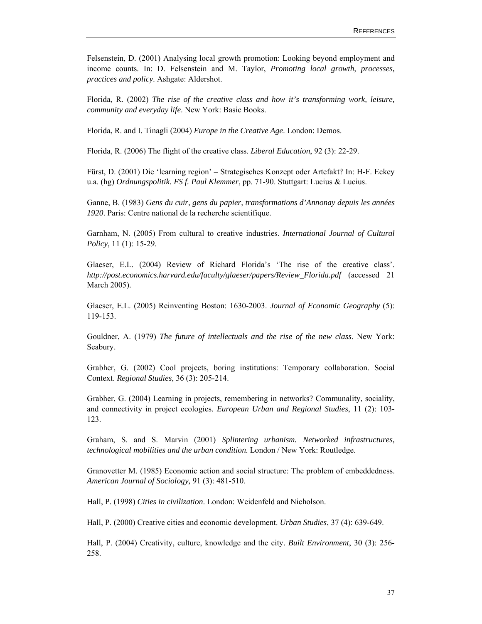Felsenstein, D. (2001) Analysing local growth promotion: Looking beyond employment and income counts. In: D. Felsenstein and M. Taylor, *Promoting local growth, processes, practices and policy*. Ashgate: Aldershot.

Florida, R. (2002) *The rise of the creative class and how it's transforming work, leisure, community and everyday life*. New York: Basic Books.

Florida, R. and I. Tinagli (2004) *Europe in the Creative Age*. London: Demos.

Florida, R. (2006) The flight of the creative class. *Liberal Education*, 92 (3): 22-29.

Fürst, D. (2001) Die 'learning region' – Strategisches Konzept oder Artefakt? In: H-F. Eckey u.a. (hg) *Ordnungspolitik. FS f. Paul Klemmer*, pp. 71-90. Stuttgart: Lucius & Lucius.

Ganne, B. (1983) *Gens du cuir, gens du papier, transformations d'Annonay depuis les années 1920*. Paris: Centre national de la recherche scientifique.

Garnham, N. (2005) From cultural to creative industries. *International Journal of Cultural Policy,* 11 (1): 15-29.

Glaeser, E.L. (2004) Review of Richard Florida's 'The rise of the creative class'. *http://post.economics.harvard.edu/faculty/glaeser/papers/Review\_Florida.pdf* (accessed 21 March 2005).

Glaeser, E.L. (2005) Reinventing Boston: 1630-2003. *Journal of Economic Geography* (5): 119-153.

Gouldner, A. (1979) *The future of intellectuals and the rise of the new class*. New York: Seabury.

Grabher, G. (2002) Cool projects, boring institutions: Temporary collaboration. Social Context. *Regional Studies*, 36 (3): 205-214.

Grabher, G. (2004) Learning in projects, remembering in networks? Communality, sociality, and connectivity in project ecologies. *European Urban and Regional Studies*, 11 (2): 103- 123.

Graham, S. and S. Marvin (2001) *Splintering urbanism. Networked infrastructures, technological mobilities and the urban condition.* London / New York: Routledge.

Granovetter M. (1985) Economic action and social structure: The problem of embeddedness. *American Journal of Sociology,* 91 (3): 481-510.

Hall, P. (1998) *Cities in civilization*. London: Weidenfeld and Nicholson.

Hall, P. (2000) Creative cities and economic development. *Urban Studies*, 37 (4): 639-649.

Hall, P. (2004) Creativity, culture, knowledge and the city. *Built Environment*, 30 (3): 256- 258.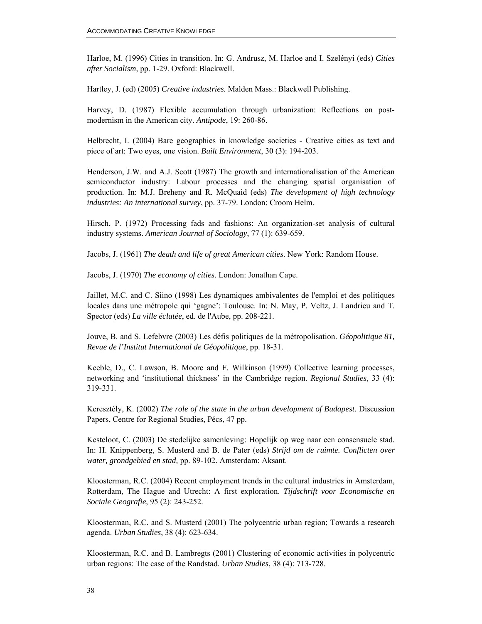Harloe, M. (1996) Cities in transition. In: G. Andrusz, M. Harloe and I. Szelényi (eds) *Cities after Socialism*, pp. 1-29. Oxford: Blackwell.

Hartley, J. (ed) (2005) *Creative industries.* Malden Mass.: Blackwell Publishing.

Harvey, D. (1987) Flexible accumulation through urbanization: Reflections on postmodernism in the American city. *Antipode*, 19: 260-86.

Helbrecht, I. (2004) Bare geographies in knowledge societies - Creative cities as text and piece of art: Two eyes, one vision. *Built Environment*, 30 (3): 194-203.

Henderson, J.W. and A.J. Scott (1987) The growth and internationalisation of the American semiconductor industry: Labour processes and the changing spatial organisation of production. In: M.J. Breheny and R. McQuaid (eds) *The development of high technology industries: An international survey*, pp. 37-79. London: Croom Helm.

Hirsch, P. (1972) Processing fads and fashions: An organization-set analysis of cultural industry systems. *American Journal of Sociology*, 77 (1): 639-659.

Jacobs, J. (1961) *The death and life of great American cities*. New York: Random House.

Jacobs, J. (1970) *The economy of cities*. London: Jonathan Cape.

Jaillet, M.C. and C. Siino (1998) Les dynamiques ambivalentes de l'emploi et des politiques locales dans une métropole qui 'gagne': Toulouse. In: N. May, P. Veltz, J. Landrieu and T. Spector (eds) *La ville éclatée*, ed. de l'Aube, pp. 208-221.

Jouve, B. and S. Lefebvre (2003) Les défis politiques de la métropolisation. *Géopolitique 81, Revue de l'Institut International de Géopolitique*, pp. 18-31.

Keeble, D., C. Lawson, B. Moore and F. Wilkinson (1999) Collective learning processes, networking and 'institutional thickness' in the Cambridge region. *Regional Studies*, 33 (4): 319-331.

Keresztély, K. (2002) *The role of the state in the urban development of Budapest*. Discussion Papers, Centre for Regional Studies, Pécs, 47 pp.

Kesteloot, C. (2003) De stedelijke samenleving: Hopelijk op weg naar een consensuele stad. In: H. Knippenberg, S. Musterd and B. de Pater (eds) *Strijd om de ruimte. Conflicten over water, grondgebied en stad,* pp. 89-102. Amsterdam: Aksant.

Kloosterman, R.C. (2004) Recent employment trends in the cultural industries in Amsterdam, Rotterdam, The Hague and Utrecht: A first exploration. *Tijdschrift voor Economische en Sociale Geografie*, 95 (2): 243-252.

Kloosterman, R.C. and S. Musterd (2001) The polycentric urban region; Towards a research agenda. *Urban Studies*, 38 (4): 623-634.

Kloosterman, R.C. and B. Lambregts (2001) Clustering of economic activities in polycentric urban regions: The case of the Randstad. *Urban Studies*, 38 (4): 713-728.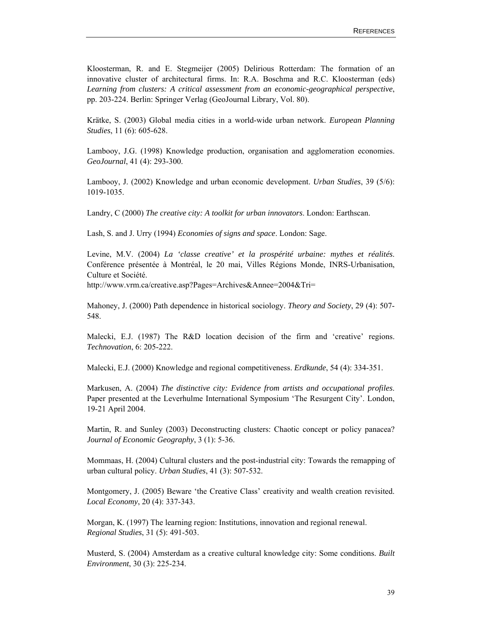Kloosterman, R. and E. Stegmeijer (2005) Delirious Rotterdam: The formation of an innovative cluster of architectural firms. In: R.A. Boschma and R.C. Kloosterman (eds) *Learning from clusters: A critical assessment from an economic-geographical perspective*, pp. 203-224. Berlin: Springer Verlag (GeoJournal Library, Vol. 80).

Krätke, S. (2003) Global media cities in a world-wide urban network. *European Planning Studies*, 11 (6): 605-628.

Lambooy, J.G. (1998) Knowledge production, organisation and agglomeration economies. *GeoJournal*, 41 (4): 293-300.

Lambooy, J. (2002) Knowledge and urban economic development. *Urban Studies*, 39 (5/6): 1019-1035.

Landry, C (2000) *The creative city: A toolkit for urban innovators*. London: Earthscan.

Lash, S. and J. Urry (1994) *Economies of signs and space*. London: Sage.

Levine, M.V. (2004) *La 'classe creative' et la prospérité urbaine: mythes et réalités*. Conférence présentée à Montréal, le 20 mai, Villes Régions Monde, INRS-Urbanisation, Culture et Société.

http://www.vrm.ca/creative.asp?Pages=Archives&Annee=2004&Tri=

Mahoney, J. (2000) Path dependence in historical sociology. *Theory and Society*, 29 (4): 507- 548.

Malecki, E.J. (1987) The R&D location decision of the firm and 'creative' regions. *Technovation*, 6: 205-222.

Malecki, E.J. (2000) Knowledge and regional competitiveness. *Erdkunde*, 54 (4): 334-351.

Markusen, A. (2004) *The distinctive city: Evidence from artists and occupational profiles*. Paper presented at the Leverhulme International Symposium 'The Resurgent City'. London, 19-21 April 2004.

Martin, R. and Sunley (2003) Deconstructing clusters: Chaotic concept or policy panacea? *Journal of Economic Geography*, 3 (1): 5-36.

Mommaas, H. (2004) Cultural clusters and the post-industrial city: Towards the remapping of urban cultural policy. *Urban Studies*, 41 (3): 507-532.

Montgomery, J. (2005) Beware 'the Creative Class' creativity and wealth creation revisited. *Local Economy*, 20 (4): 337-343.

Morgan, K. (1997) The learning region: Institutions, innovation and regional renewal. *Regional Studies*, 31 (5): 491-503.

Musterd, S. (2004) Amsterdam as a creative cultural knowledge city: Some conditions. *Built Environment*, 30 (3): 225-234.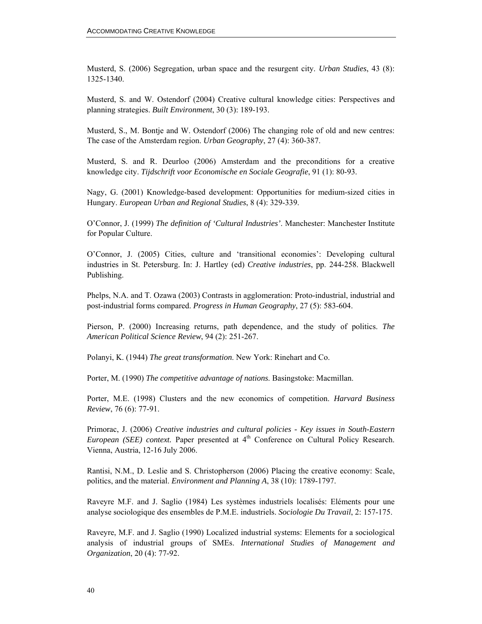Musterd, S. (2006) Segregation, urban space and the resurgent city. *Urban Studies*, 43 (8): 1325-1340.

Musterd, S. and W. Ostendorf (2004) Creative cultural knowledge cities: Perspectives and planning strategies. *Built Environment*, 30 (3): 189-193.

Musterd, S., M. Bontje and W. Ostendorf (2006) The changing role of old and new centres: The case of the Amsterdam region. *Urban Geography*, 27 (4): 360-387.

Musterd, S. and R. Deurloo (2006) Amsterdam and the preconditions for a creative knowledge city. *Tijdschrift voor Economische en Sociale Geografie*, 91 (1): 80-93.

Nagy, G. (2001) Knowledge-based development: Opportunities for medium-sized cities in Hungary. *European Urban and Regional Studies*, 8 (4): 329-339.

O'Connor, J. (1999) *The definition of 'Cultural Industries'*. Manchester: Manchester Institute for Popular Culture.

O'Connor, J. (2005) Cities, culture and 'transitional economies': Developing cultural industries in St. Petersburg. In: J. Hartley (ed) *Creative industries*, pp. 244-258. Blackwell Publishing.

Phelps, N.A. and T. Ozawa (2003) Contrasts in agglomeration: Proto-industrial, industrial and post-industrial forms compared. *Progress in Human Geography*, 27 (5): 583-604.

Pierson, P. (2000) Increasing returns, path dependence, and the study of politics. *The American Political Science Review*, 94 (2): 251-267.

Polanyi, K. (1944) *The great transformation*. New York: Rinehart and Co.

Porter, M. (1990) *The competitive advantage of nations*. Basingstoke: Macmillan.

Porter, M.E. (1998) Clusters and the new economics of competition. *Harvard Business Review*, 76 (6): 77-91.

Primorac, J. (2006) *Creative industries and cultural policies - Key issues in South-Eastern European (SEE) context.* Paper presented at 4<sup>th</sup> Conference on Cultural Policy Research. Vienna, Austria, 12-16 July 2006.

Rantisi, N.M., D. Leslie and S. Christopherson (2006) Placing the creative economy: Scale, politics, and the material. *Environment and Planning A*, 38 (10): 1789-1797.

Raveyre M.F. and J. Saglio (1984) Les systèmes industriels localisés: Eléments pour une analyse sociologique des ensembles de P.M.E. industriels. *Sociologie Du Travail*, 2: 157-175.

Raveyre, M.F. and J. Saglio (1990) Localized industrial systems: Elements for a sociological analysis of industrial groups of SMEs. *International Studies of Management and Organization*, 20 (4): 77-92.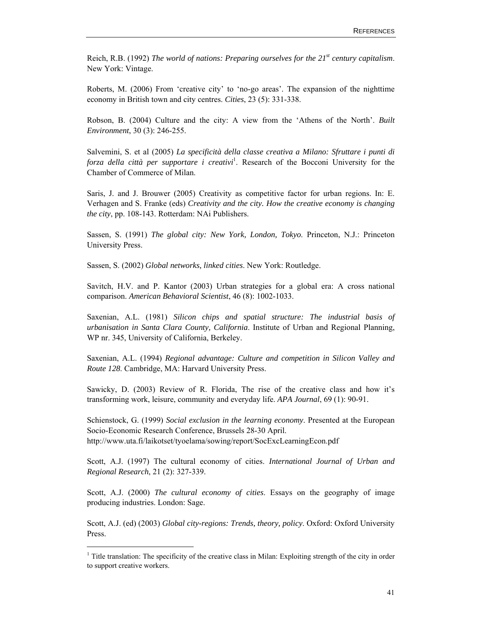Reich, R.B. (1992) *The world of nations: Preparing ourselves for the 21st century capitalism*. New York: Vintage.

Roberts, M. (2006) From 'creative city' to 'no-go areas'. The expansion of the nighttime economy in British town and city centres. *Cities*, 23 (5): 331-338.

Robson, B. (2004) Culture and the city: A view from the 'Athens of the North'. *Built Environment*, 30 (3): 246-255.

Salvemini, S. et al (2005) *La specificità della classe creativa a Milano: Sfruttare i punti di*  forza della città per supportare i creativi<sup>1</sup>. Research of the Bocconi University for the Chamber of Commerce of Milan.

Saris, J. and J. Brouwer (2005) Creativity as competitive factor for urban regions. In: E. Verhagen and S. Franke (eds) *Creativity and the city. How the creative economy is changing the city*, pp. 108-143. Rotterdam: NAi Publishers.

Sassen, S. (1991) *The global city: New York, London, Tokyo*. Princeton, N.J.: Princeton University Press.

Sassen, S. (2002) *Global networks, linked cities*. New York: Routledge.

Savitch, H.V. and P. Kantor (2003) Urban strategies for a global era: A cross national comparison. *American Behavioral Scientist*, 46 (8): 1002-1033.

Saxenian, A.L. (1981) *Silicon chips and spatial structure: The industrial basis of urbanisation in Santa Clara County, California*. Institute of Urban and Regional Planning, WP nr. 345, University of California, Berkeley.

Saxenian, A.L. (1994) *Regional advantage: Culture and competition in Silicon Valley and Route 128*. Cambridge, MA: Harvard University Press.

Sawicky, D. (2003) Review of R. Florida, The rise of the creative class and how it's transforming work, leisure, community and everyday life. *APA Journal*, 69 (1): 90-91.

Schienstock, G. (1999) *Social exclusion in the learning economy*. Presented at the European Socio-Economic Research Conference, Brussels 28-30 April. http://www.uta.fi/laikotset/tyoelama/sowing/report/SocExcLearningEcon.pdf

Scott, A.J. (1997) The cultural economy of cities. *International Journal of Urban and Regional Research*, 21 (2): 327-339.

Scott, A.J. (2000) *The cultural economy of cities*. Essays on the geography of image producing industries. London: Sage.

Scott, A.J. (ed) (2003) *Global city-regions: Trends, theory, policy*. Oxford: Oxford University Press.

 $\overline{a}$ 

<sup>&</sup>lt;sup>1</sup> Title translation: The specificity of the creative class in Milan: Exploiting strength of the city in order to support creative workers.